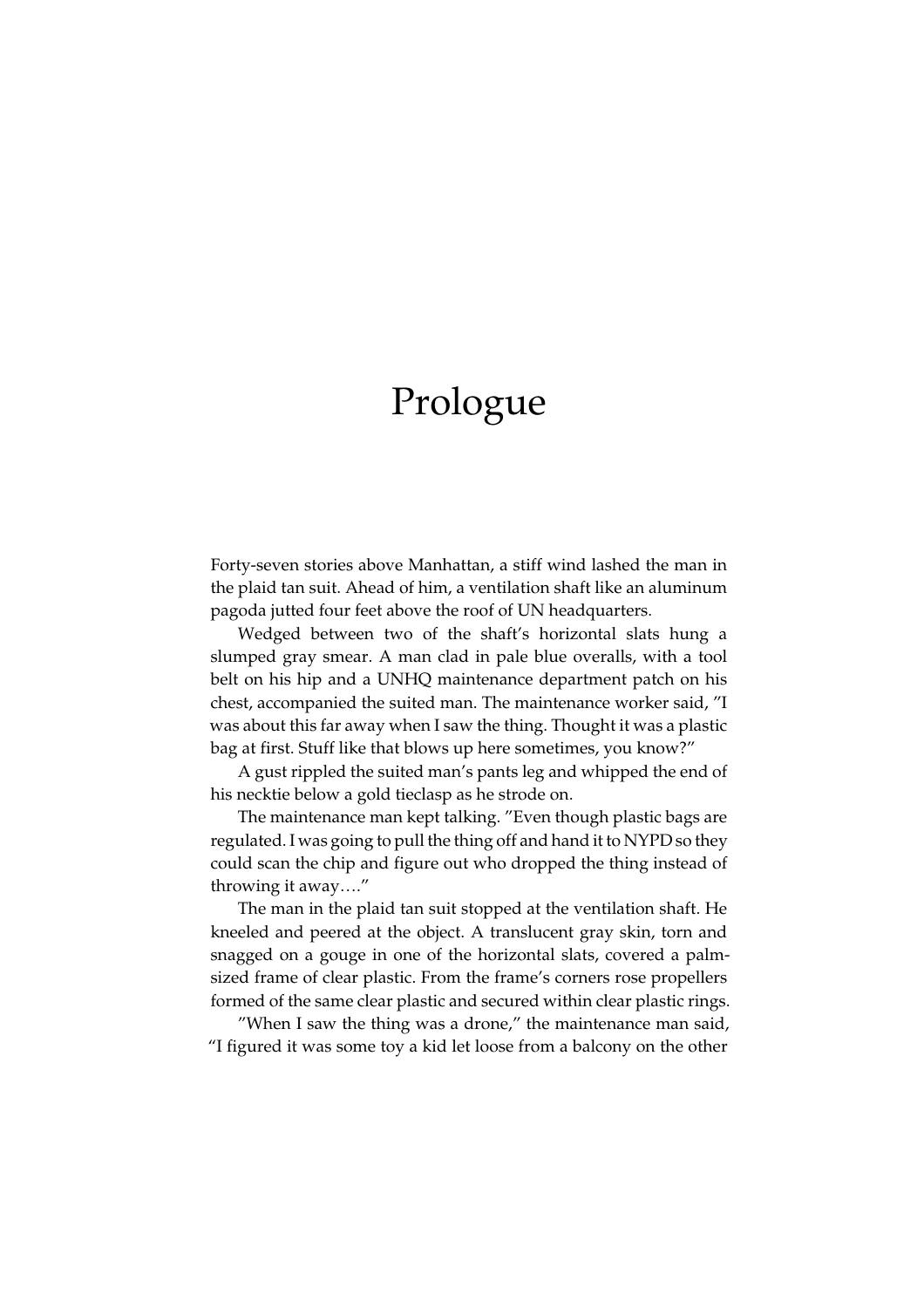# Prologue

Forty-seven stories above Manhattan, a stiff wind lashed the man in the plaid tan suit. Ahead of him, a ventilation shaft like an aluminum pagoda jutted four feet above the roof of UN headquarters.

Wedged between two of the shaft's horizontal slats hung a slumped gray smear. A man clad in pale blue overalls, with a tool belt on his hip and a UNHQ maintenance department patch on his chest, accompanied the suited man. The maintenance worker said, "I was about this far away when I saw the thing. Thought it was a plastic bag at first. Stuff like that blows up here sometimes, you know?"

A gust rippled the suited man's pants leg and whipped the end of his necktie below a gold tieclasp as he strode on.

The maintenance man kept talking. "Even though plastic bags are regulated. I was going to pull the thing off and hand it to NYPD so they could scan the chip and figure out who dropped the thing instead of throwing it away...."

The man in the plaid tan suit stopped at the ventilation shaft. He kneeled and peered at the object. A translucent gray skin, torn and snagged on a gouge in one of the horizontal slats, covered a palmsized frame of clear plastic. From the frame's corners rose propellers formed of the same clear plastic and secured within clear plastic rings.

"When I saw the thing was a drone," the maintenance man said, "I figured it was some toy a kid let loose from a balcony on the other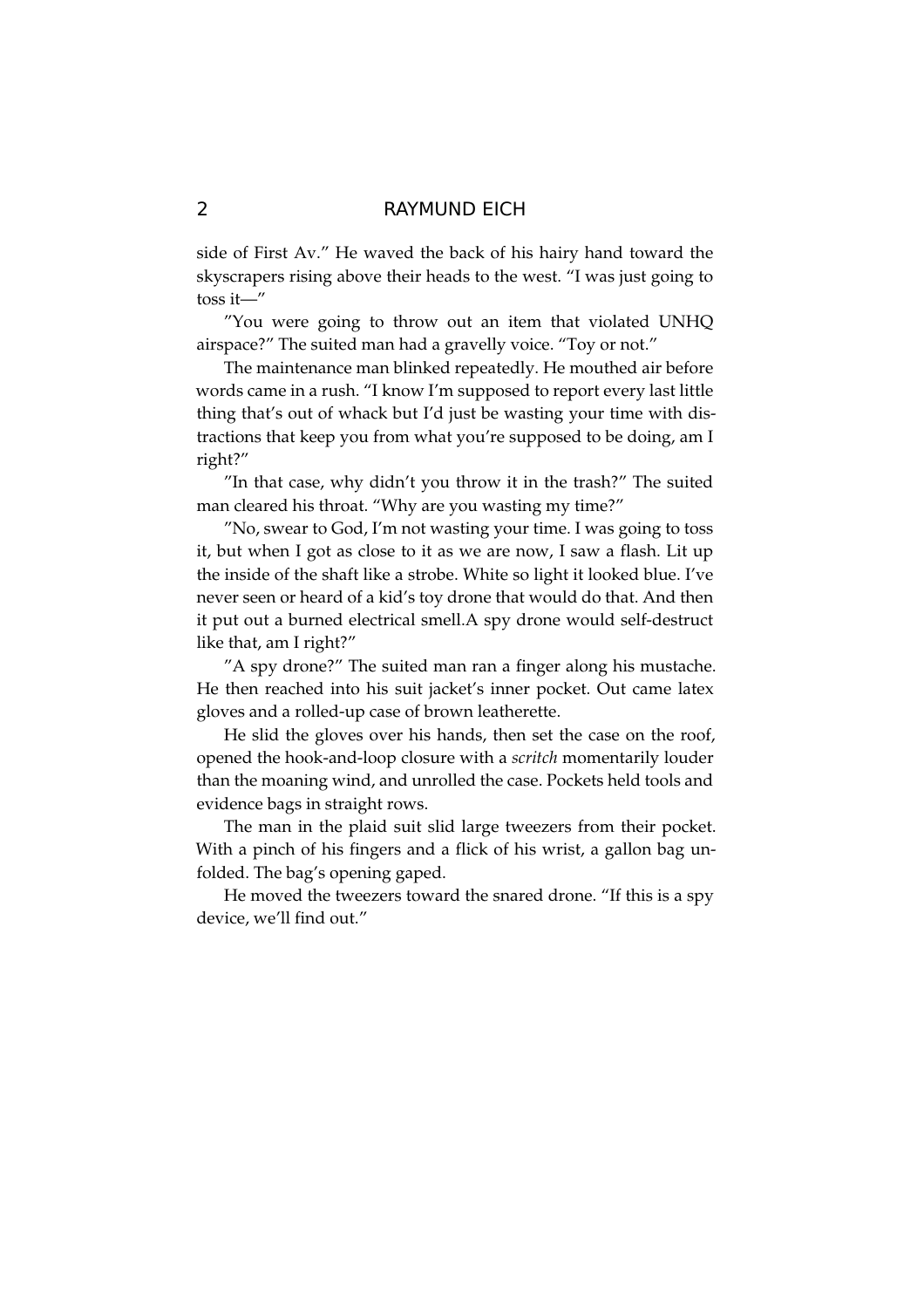side of First Av." He waved the back of his hairy hand toward the skyscrapers rising above their heads to the west. "I was just going to toss it— $"$ 

"You were going to throw out an item that violated UNHQ airspace?" The suited man had a gravelly voice. "Toy or not."

The maintenance man blinked repeatedly. He mouthed air before words came in a rush. "I know I'm supposed to report every last little thing that's out of whack but I'd just be wasting your time with distractions that keep you from what you're supposed to be doing, am I right?"

"In that case, why didn't you throw it in the trash?" The suited man cleared his throat. "Why are you wasting my time?"

"No, swear to God, I'm not wasting your time. I was going to toss it, but when I got as close to it as we are now, I saw a flash. Lit up the inside of the shaft like a strobe. White so light it looked blue. I've never seen or heard of a kid's toy drone that would do that. And then it put out a burned electrical smell.A spy drone would self-destruct like that, am I right?"

"A spy drone?" The suited man ran a finger along his mustache. He then reached into his suit jacket's inner pocket. Out came latex gloves and a rolled-up case of brown leatherette.

He slid the gloves over his hands, then set the case on the roof, opened the hook-and-loop closure with a *scritch* momentarily louder than the moaning wind, and unrolled the case. Pockets held tools and evidence bags in straight rows.

The man in the plaid suit slid large tweezers from their pocket. With a pinch of his fingers and a flick of his wrist, a gallon bag unfolded. The bag's opening gaped.

He moved the tweezers toward the snared drone. "If this is a spy device, we'll find out."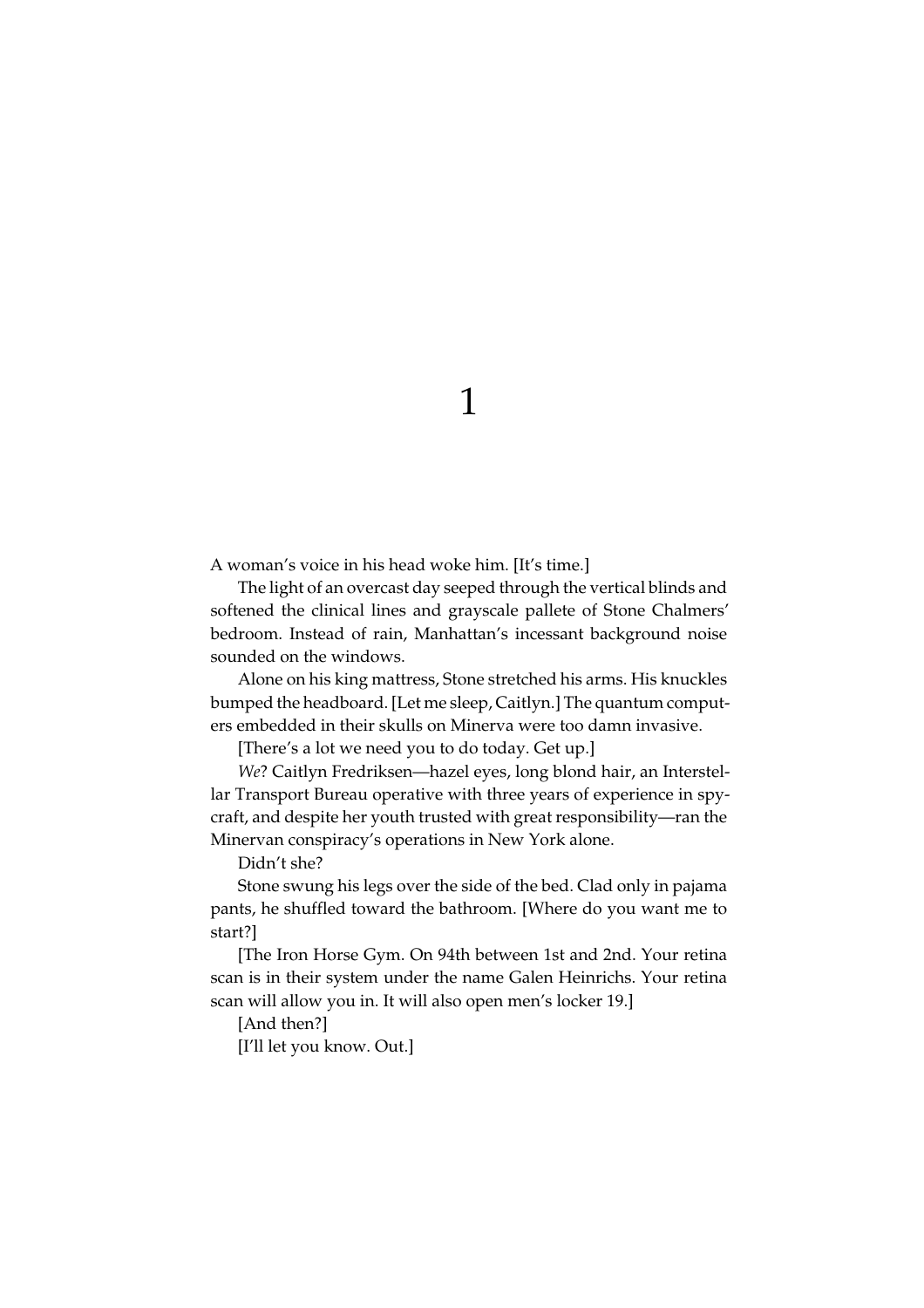1

A woman's voice in his head woke him. [It's time.]

The light of an overcast day seeped through the vertical blinds and softened the clinical lines and grayscale pallete of Stone Chalmers' bedroom. Instead of rain, Manhattan's incessant background noise sounded on the windows.

Alone on his king mattress, Stone stretched his arms. His knuckles bumped the headboard. [Let me sleep, Caitlyn.] The quantum computers embedded in their skulls on Minerva were too damn invasive.

[There's a lot we need you to do today. Get up.]

We? Caitlyn Fredriksen-hazel eyes, long blond hair, an Interstellar Transport Bureau operative with three years of experience in spycraft, and despite her youth trusted with great responsibility-ran the Minervan conspiracy's operations in New York alone.

Didn't she?

Stone swung his legs over the side of the bed. Clad only in pajama pants, he shuffled toward the bathroom. [Where do you want me to start?]

[The Iron Horse Gym. On 94th between 1st and 2nd. Your retina scan is in their system under the name Galen Heinrichs. Your retina scan will allow you in. It will also open men's locker 19.]

[And then?]

[I'll let you know. Out.]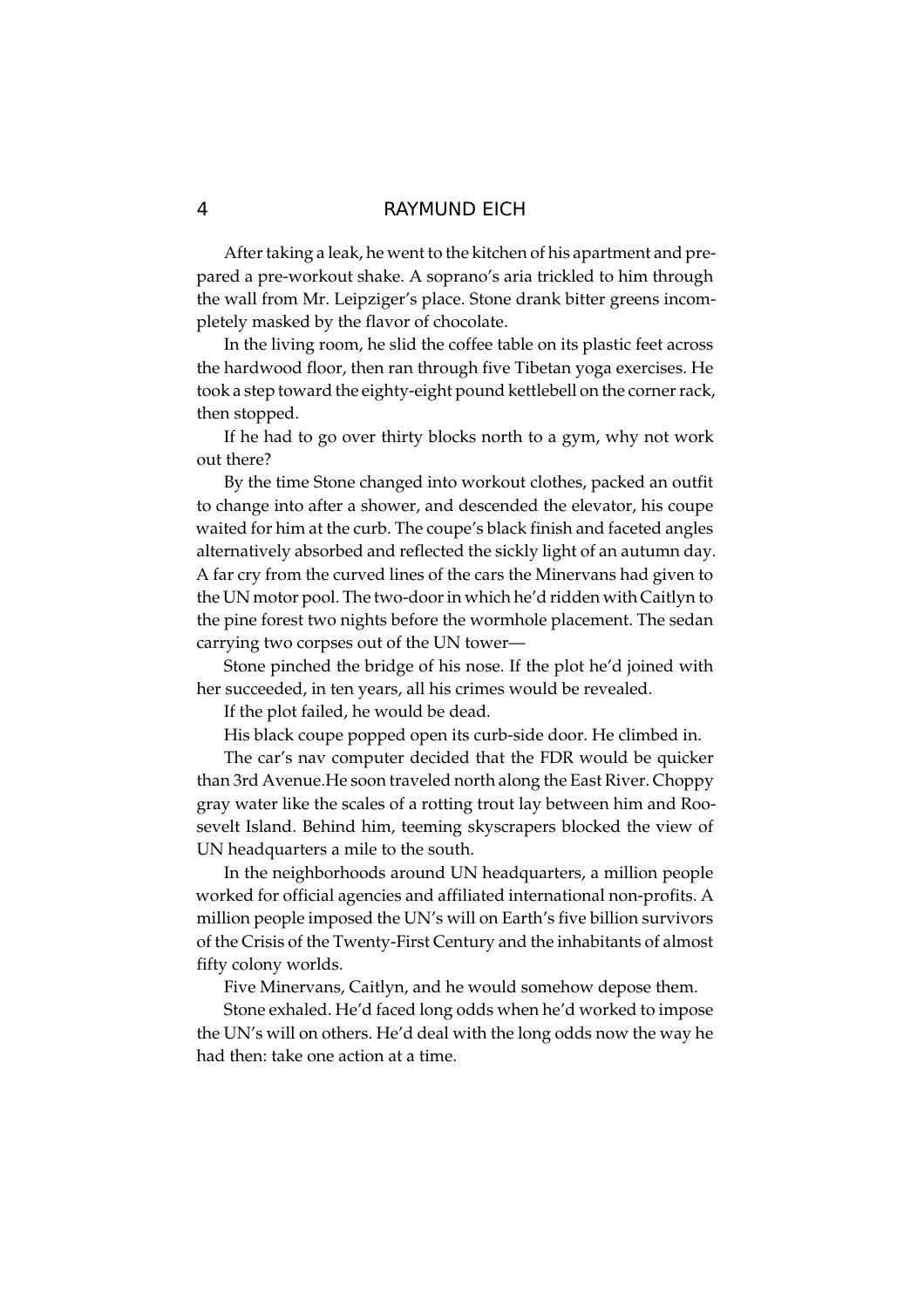After taking a leak, he went to the kitchen of his apartment and prepared a pre-workout shake. A soprano's aria trickled to him through the wall from Mr. Leipziger's place. Stone drank bitter greens incompletely masked by the flavor of chocolate.

In the living room, he slid the coffee table on its plastic feet across the hardwood floor, then ran through five Tibetan yoga exercises. He took a step toward the eighty-eight pound kettlebell on the corner rack, then stopped.

If he had to go over thirty blocks north to a gym, why not work out there?

By the time Stone changed into workout clothes, packed an outfit to change into after a shower, and descended the elevator, his coupe waited for him at the curb. The coupe's black finish and faceted angles alternatively absorbed and reflected the sickly light of an autumn day. A far cry from the curved lines of the cars the Minervans had given to the UN motor pool. The two-door in which he'd ridden with Caitlyn to the pine forest two nights before the wormhole placement. The sedan carrying two corpses out of the UN tower-

Stone pinched the bridge of his nose. If the plot he'd joined with her succeeded, in ten years, all his crimes would be revealed.

If the plot failed, he would be dead.

His black coupe popped open its curb-side door. He climbed in.

The car's nav computer decided that the FDR would be quicker than 3rd Avenue. He soon traveled north along the East River. Choppy gray water like the scales of a rotting trout lay between him and Roosevelt Island. Behind him, teeming skyscrapers blocked the view of UN headquarters a mile to the south.

In the neighborhoods around UN headquarters, a million people worked for official agencies and affiliated international non-profits. A million people imposed the UN's will on Earth's five billion survivors of the Crisis of the Twenty-First Century and the inhabitants of almost fifty colony worlds.

Five Minervans, Caitlyn, and he would somehow depose them.

Stone exhaled. He'd faced long odds when he'd worked to impose the UN's will on others. He'd deal with the long odds now the way he had then: take one action at a time.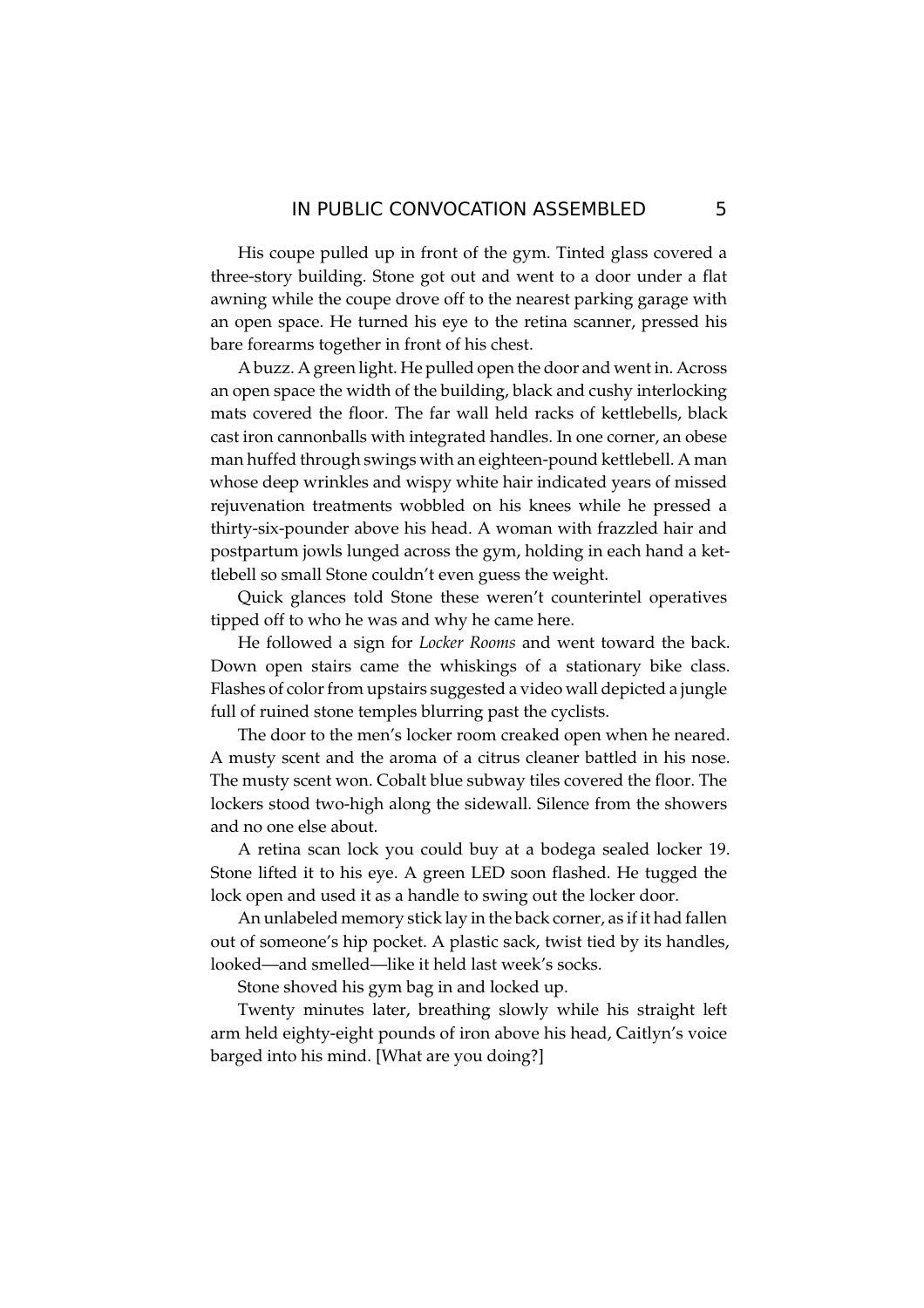His coupe pulled up in front of the gym. Tinted glass covered a three-story building. Stone got out and went to a door under a flat awning while the coupe drove off to the nearest parking garage with an open space. He turned his eye to the retina scanner, pressed his bare forearms together in front of his chest.

A buzz. A green light. He pulled open the door and went in. Across an open space the width of the building, black and cushy interlocking mats covered the floor. The far wall held racks of kettlebells, black cast iron cannonballs with integrated handles. In one corner, an obese man huffed through swings with an eighteen-pound kettlebell. A man whose deep wrinkles and wispy white hair indicated years of missed rejuvenation treatments wobbled on his knees while he pressed a thirty-six-pounder above his head. A woman with frazzled hair and postpartum jowls lunged across the gym, holding in each hand a kettlebell so small Stone couldn't even guess the weight.

Quick glances told Stone these weren't counterintel operatives tipped off to who he was and why he came here.

He followed a sign for Locker Rooms and went toward the back. Down open stairs came the whiskings of a stationary bike class. Flashes of color from upstairs suggested a video wall depicted a jungle full of ruined stone temples blurring past the cyclists.

The door to the men's locker room creaked open when he neared. A musty scent and the aroma of a citrus cleaner battled in his nose. The musty scent won. Cobalt blue subway tiles covered the floor. The lockers stood two-high along the sidewall. Silence from the showers and no one else about.

A retina scan lock you could buy at a bodega sealed locker 19. Stone lifted it to his eye. A green LED soon flashed. He tugged the lock open and used it as a handle to swing out the locker door.

An unlabeled memory stick lay in the back corner, as if it had fallen out of someone's hip pocket. A plastic sack, twist tied by its handles, looked—and smelled—like it held last week's socks.

Stone shoved his gym bag in and locked up.

Twenty minutes later, breathing slowly while his straight left arm held eighty-eight pounds of iron above his head, Caitlyn's voice barged into his mind. [What are you doing?]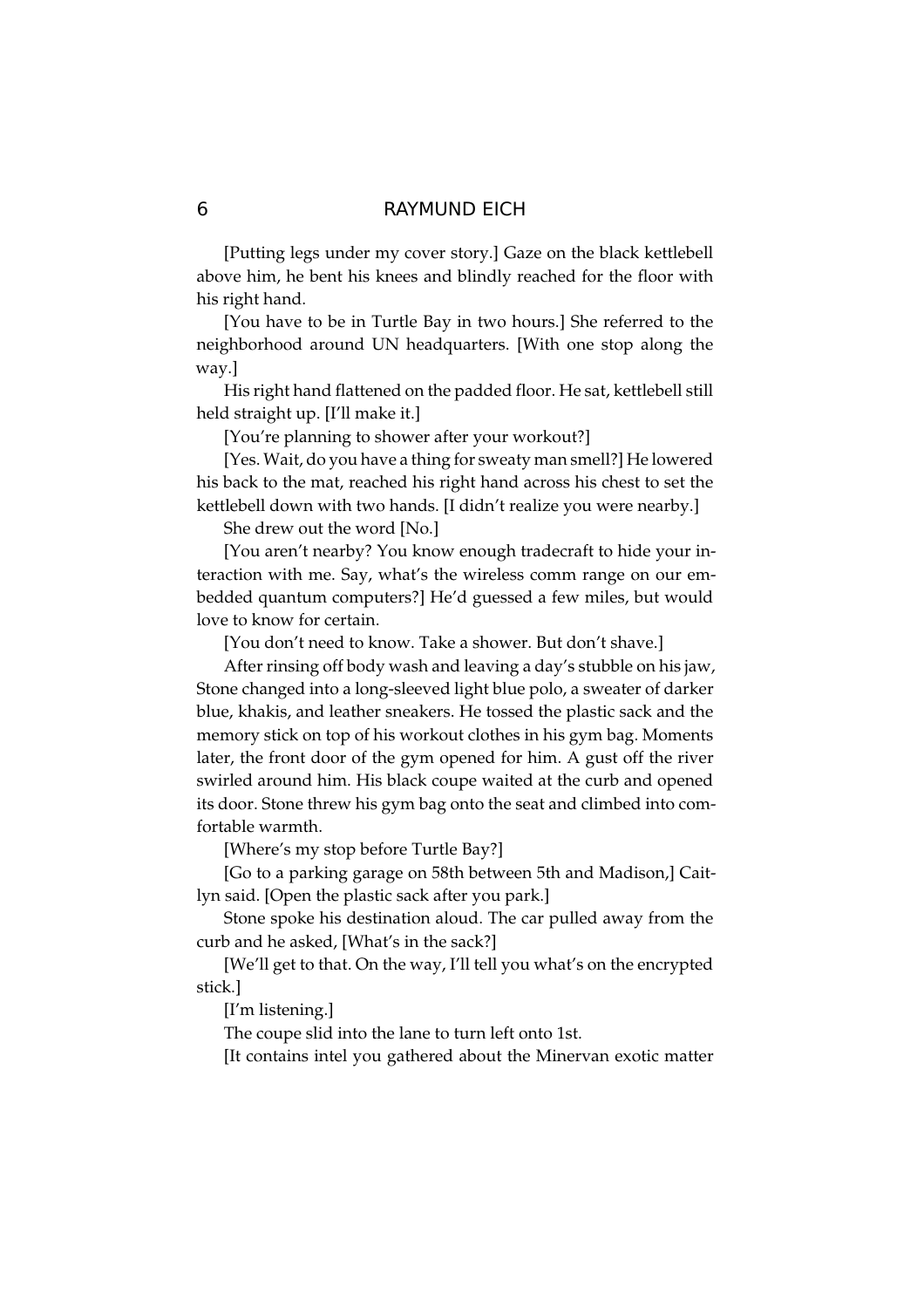[Putting legs under my cover story.] Gaze on the black kettlebell above him, he bent his knees and blindly reached for the floor with his right hand.

[You have to be in Turtle Bay in two hours.] She referred to the neighborhood around UN headquarters. [With one stop along the way.]

His right hand flattened on the padded floor. He sat, kettlebell still held straight up. [I'll make it.]

[You're planning to shower after your workout?]

[Yes. Wait, do you have a thing for sweaty man smell?] He lowered his back to the mat, reached his right hand across his chest to set the kettlebell down with two hands. [I didn't realize you were nearby.]

She drew out the word [No.]

[You aren't nearby? You know enough tradecraft to hide your interaction with me. Say, what's the wireless comm range on our embedded quantum computers?] He'd guessed a few miles, but would love to know for certain.

[You don't need to know. Take a shower. But don't shave.]

After rinsing off body wash and leaving a day's stubble on his jaw, Stone changed into a long-sleeved light blue polo, a sweater of darker blue, khakis, and leather sneakers. He tossed the plastic sack and the memory stick on top of his workout clothes in his gym bag. Moments later, the front door of the gym opened for him. A gust off the river swirled around him. His black coupe waited at the curb and opened its door. Stone threw his gym bag onto the seat and climbed into comfortable warmth.

[Where's my stop before Turtle Bay?]

[Go to a parking garage on 58th between 5th and Madison,] Caitlyn said. [Open the plastic sack after you park.]

Stone spoke his destination aloud. The car pulled away from the curb and he asked, [What's in the sack?]

[We'll get to that. On the way, I'll tell you what's on the encrypted stick.1

[I'm listening.]

The coupe slid into the lane to turn left onto 1st.

[It contains intel you gathered about the Minervan exotic matter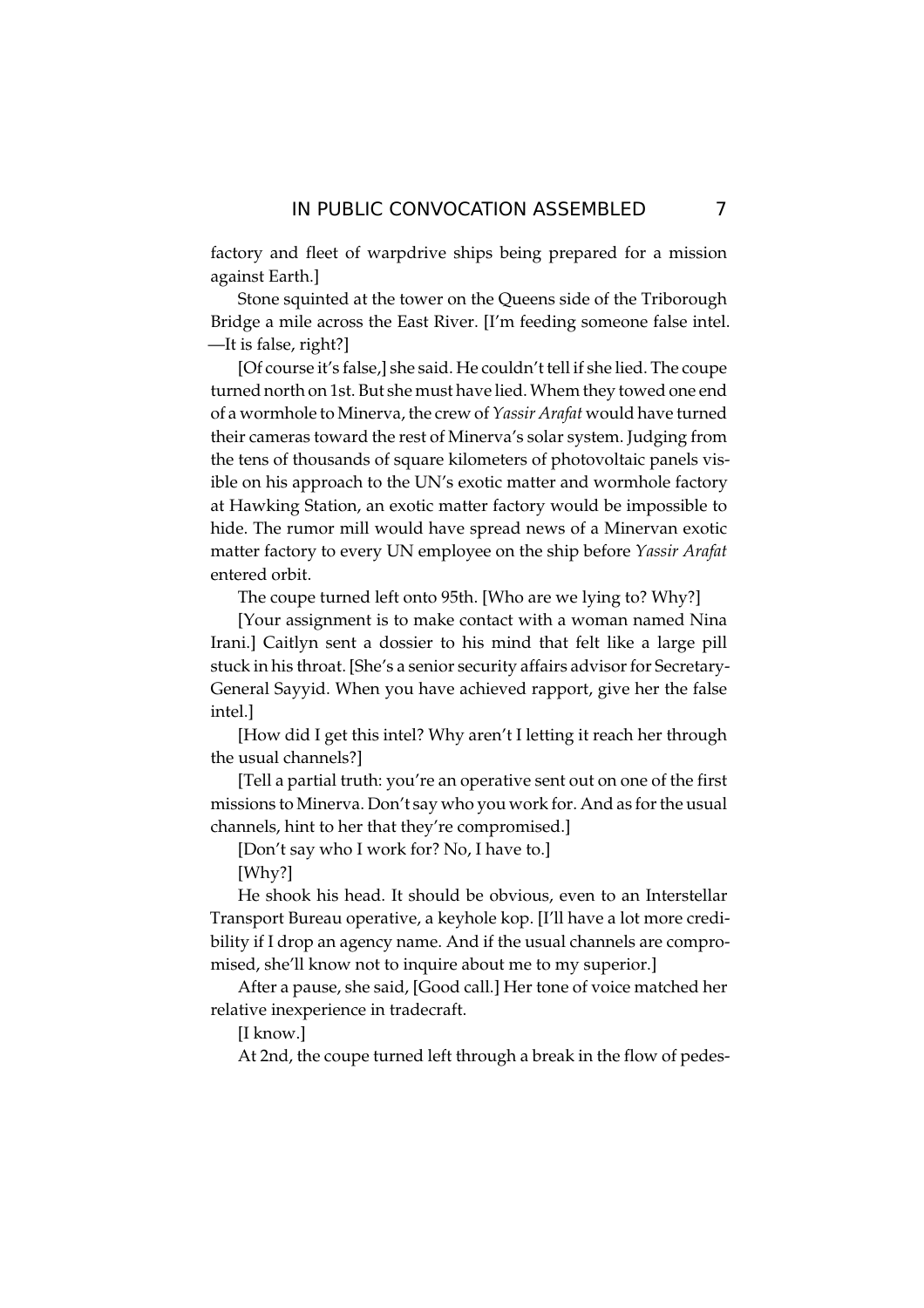factory and fleet of warpdrive ships being prepared for a mission against Earth.]

Stone squinted at the tower on the Queens side of the Triborough Bridge a mile across the East River. [I'm feeding someone false intel. -It is false, right?]

[Of course it's false,] she said. He couldn't tell if she lied. The coupe turned north on 1st. But she must have lied. Whem they towed one end of a wormhole to Minerva, the crew of Yassir Arafat would have turned their cameras toward the rest of Minerva's solar system. Judging from the tens of thousands of square kilometers of photovoltaic panels visible on his approach to the UN's exotic matter and wormhole factory at Hawking Station, an exotic matter factory would be impossible to hide. The rumor mill would have spread news of a Minervan exotic matter factory to every UN employee on the ship before Yassir Arafat entered orbit.

The coupe turned left onto 95th. [Who are we lying to? Why?]

[Your assignment is to make contact with a woman named Nina Irani.] Caitlyn sent a dossier to his mind that felt like a large pill stuck in his throat. [She's a senior security affairs advisor for Secretary-General Sayyid. When you have achieved rapport, give her the false intel.]

[How did I get this intel? Why aren't I letting it reach her through the usual channels?]

[Tell a partial truth: you're an operative sent out on one of the first missions to Minerva. Don't say who you work for. And as for the usual channels, hint to her that they're compromised.]

[Don't say who I work for? No, I have to.]

 $[Why?]$ 

He shook his head. It should be obvious, even to an Interstellar Transport Bureau operative, a keyhole kop. [I'll have a lot more credibility if I drop an agency name. And if the usual channels are compromised, she'll know not to inquire about me to my superior.]

After a pause, she said, [Good call.] Her tone of voice matched her relative inexperience in tradecraft.

[I know.]

At 2nd, the coupe turned left through a break in the flow of pedes-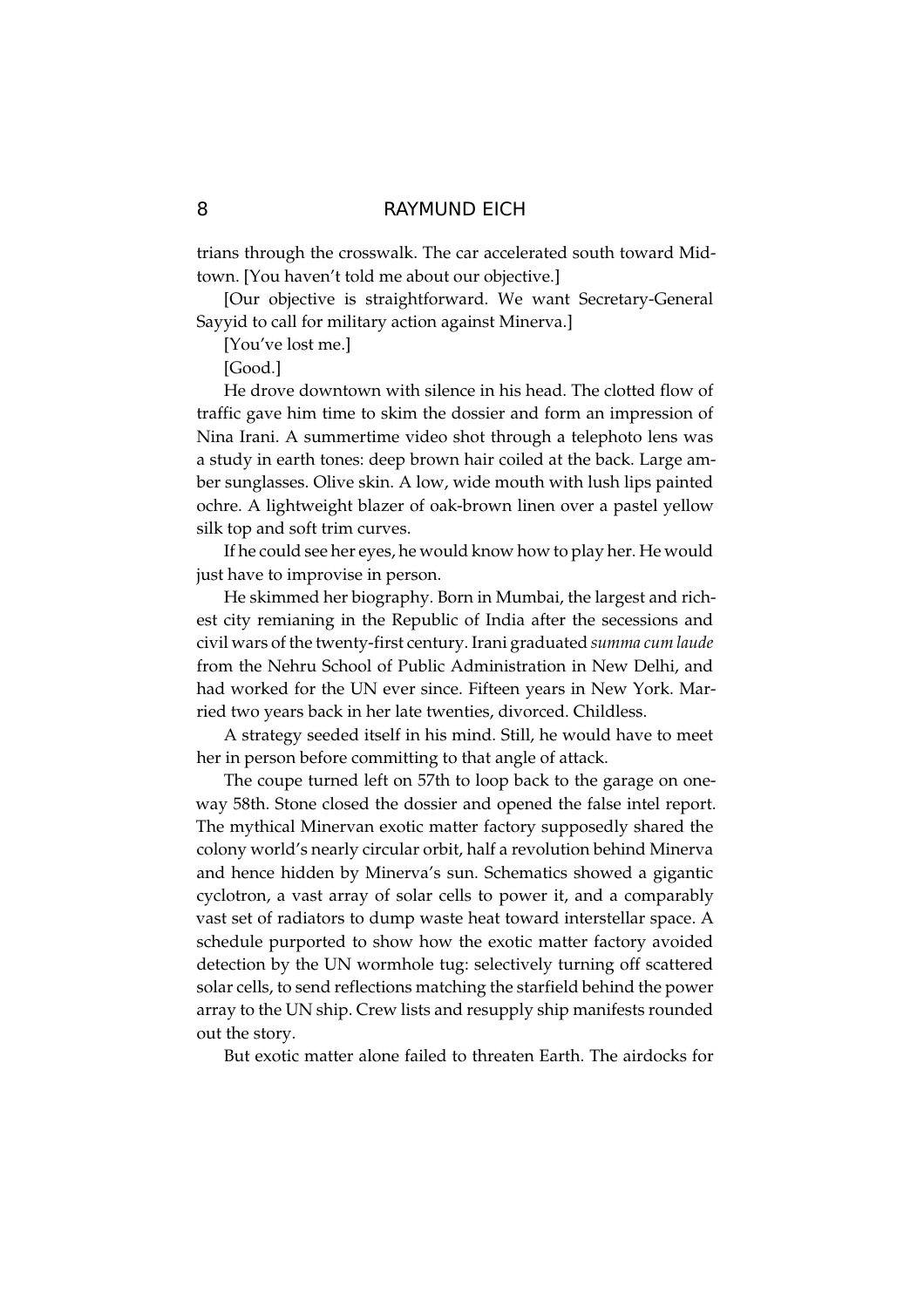trians through the crosswalk. The car accelerated south toward Midtown. [You haven't told me about our objective.]

[Our objective is straightforward. We want Secretary-General Sayyid to call for military action against Minerva.]

[You've lost me.]

[Good.]

He drove downtown with silence in his head. The clotted flow of traffic gave him time to skim the dossier and form an impression of Nina Irani. A summertime video shot through a telephoto lens was a study in earth tones: deep brown hair coiled at the back. Large amber sunglasses. Olive skin. A low, wide mouth with lush lips painted ochre. A lightweight blazer of oak-brown linen over a pastel yellow silk top and soft trim curves.

If he could see her eyes, he would know how to play her. He would just have to improvise in person.

He skimmed her biography. Born in Mumbai, the largest and richest city remianing in the Republic of India after the secessions and civil wars of the twenty-first century. Irani graduated summa cum laude from the Nehru School of Public Administration in New Delhi, and had worked for the UN ever since. Fifteen years in New York. Married two years back in her late twenties, divorced. Childless.

A strategy seeded itself in his mind. Still, he would have to meet her in person before committing to that angle of attack.

The coupe turned left on 57th to loop back to the garage on oneway 58th. Stone closed the dossier and opened the false intel report. The mythical Minervan exotic matter factory supposedly shared the colony world's nearly circular orbit, half a revolution behind Minerva and hence hidden by Minerva's sun. Schematics showed a gigantic cyclotron, a vast array of solar cells to power it, and a comparably vast set of radiators to dump waste heat toward interstellar space. A schedule purported to show how the exotic matter factory avoided detection by the UN wormhole tug: selectively turning off scattered solar cells, to send reflections matching the starfield behind the power array to the UN ship. Crew lists and resupply ship manifests rounded out the story.

But exotic matter alone failed to threaten Earth. The airdocks for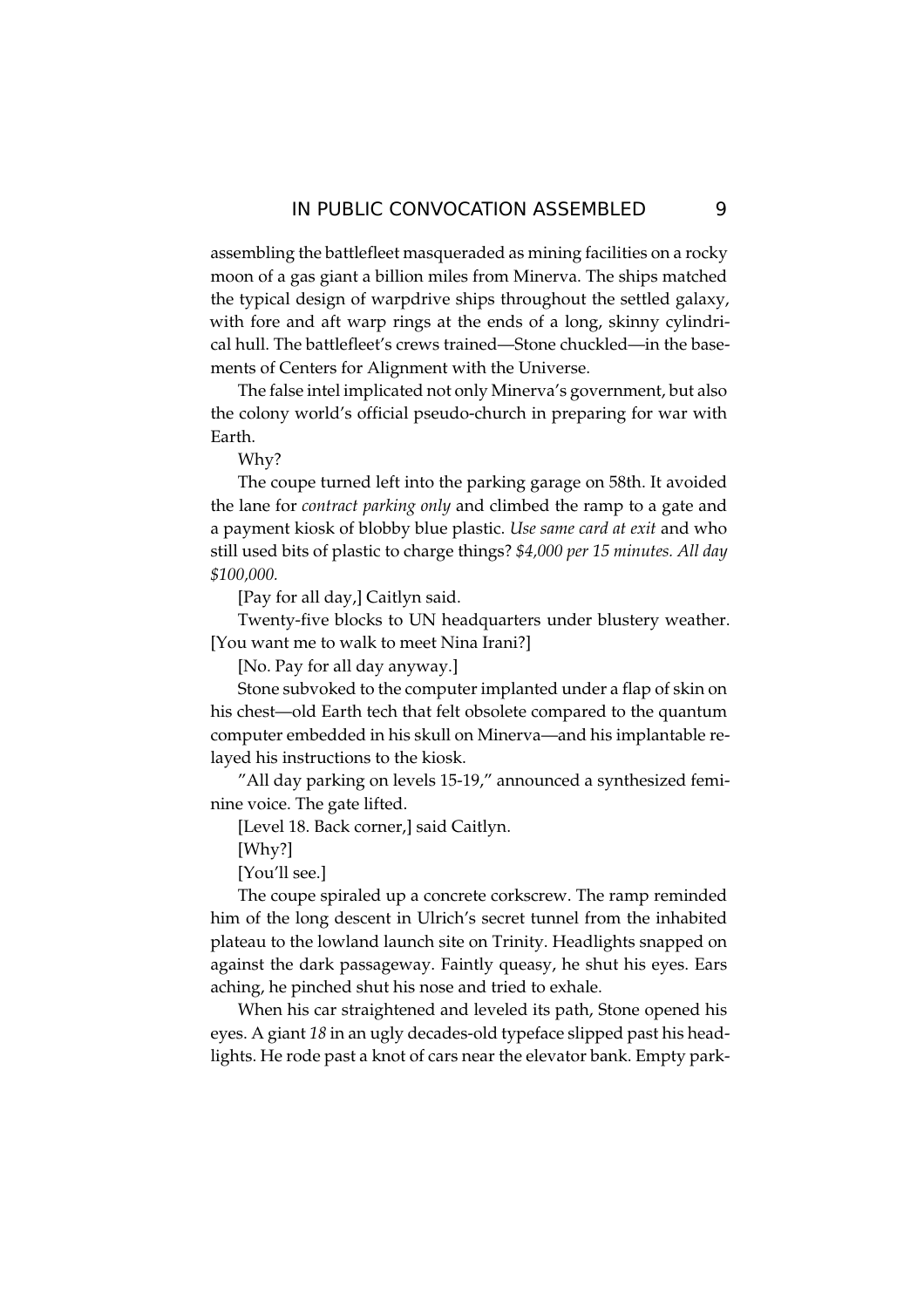assembling the battlefleet masqueraded as mining facilities on a rocky moon of a gas giant a billion miles from Minerva. The ships matched the typical design of warpdrive ships throughout the settled galaxy, with fore and aft warp rings at the ends of a long, skinny cylindrical hull. The battlefleet's crews trained—Stone chuckled—in the basements of Centers for Alignment with the Universe.

The false intel implicated not only Minerva's government, but also the colony world's official pseudo-church in preparing for war with Earth.

Why?

The coupe turned left into the parking garage on 58th. It avoided the lane for *contract parking only* and climbed the ramp to a gate and a payment kiosk of blobby blue plastic. Use same card at exit and who still used bits of plastic to charge things? \$4,000 per 15 minutes. All day \$100,000.

[Pay for all day,] Caitlyn said.

Twenty-five blocks to UN headquarters under blustery weather. [You want me to walk to meet Nina Irani?]

[No. Pay for all day anyway.]

Stone subvoked to the computer implanted under a flap of skin on his chest-old Earth tech that felt obsolete compared to the quantum computer embedded in his skull on Minerva—and his implantable relayed his instructions to the kiosk.

"All day parking on levels 15-19," announced a synthesized feminine voice. The gate lifted.

[Level 18. Back corner,] said Caitlyn.

 $[Whv?]$ 

[You'll see.]

The coupe spiraled up a concrete corkscrew. The ramp reminded him of the long descent in Ulrich's secret tunnel from the inhabited plateau to the lowland launch site on Trinity. Headlights snapped on against the dark passageway. Faintly queasy, he shut his eyes. Ears aching, he pinched shut his nose and tried to exhale.

When his car straightened and leveled its path, Stone opened his eyes. A giant 18 in an ugly decades-old typeface slipped past his headlights. He rode past a knot of cars near the elevator bank. Empty park-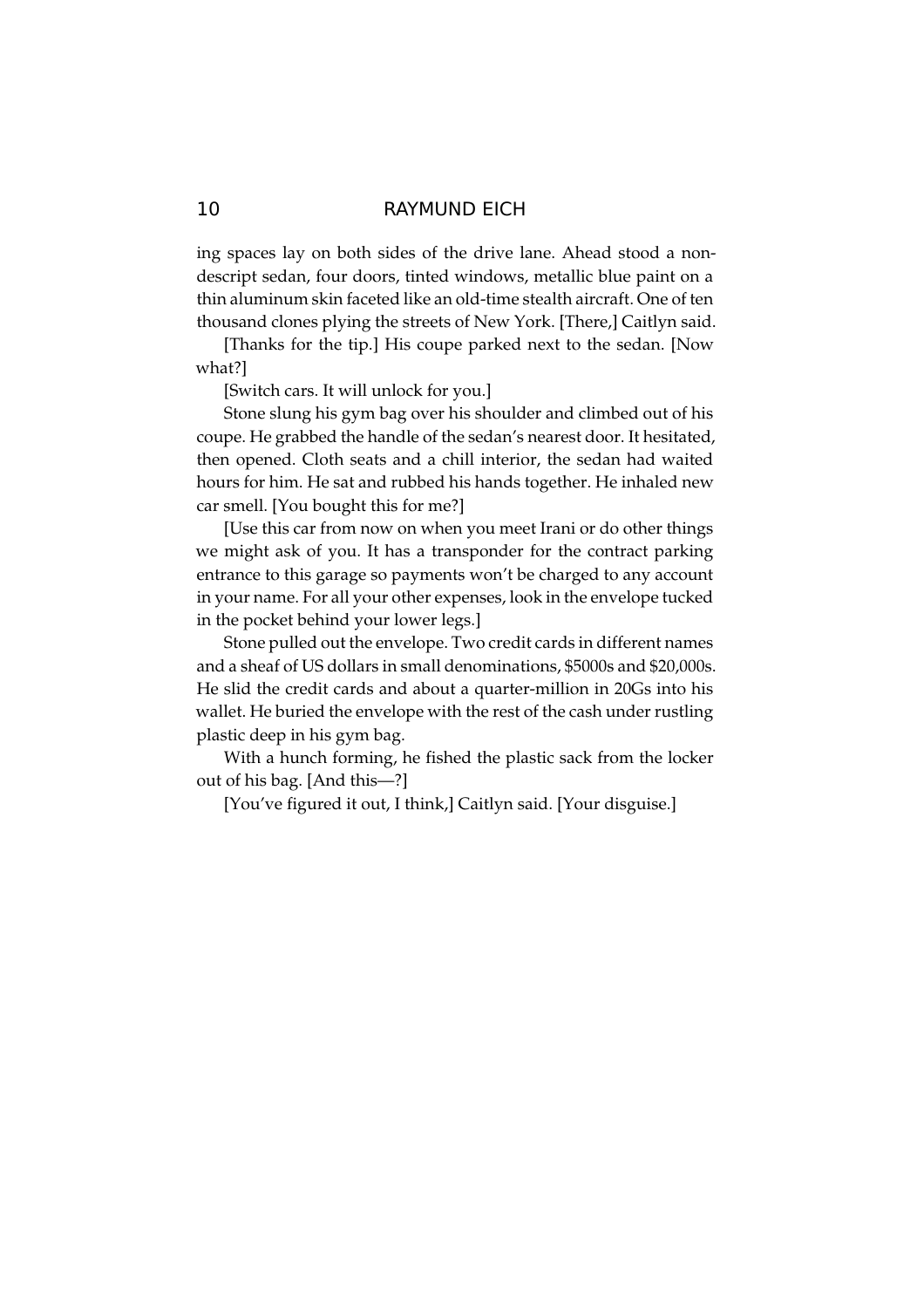ing spaces lay on both sides of the drive lane. Ahead stood a nondescript sedan, four doors, tinted windows, metallic blue paint on a thin aluminum skin faceted like an old-time stealth aircraft. One of ten thousand clones plying the streets of New York. [There,] Caitlyn said.

[Thanks for the tip.] His coupe parked next to the sedan. [Now what?]

[Switch cars. It will unlock for you.]

Stone slung his gym bag over his shoulder and climbed out of his coupe. He grabbed the handle of the sedan's nearest door. It hesitated, then opened. Cloth seats and a chill interior, the sedan had waited hours for him. He sat and rubbed his hands together. He inhaled new car smell. [You bought this for me?]

[Use this car from now on when you meet Irani or do other things we might ask of you. It has a transponder for the contract parking entrance to this garage so payments won't be charged to any account in your name. For all your other expenses, look in the envelope tucked in the pocket behind your lower legs.]

Stone pulled out the envelope. Two credit cards in different names and a sheaf of US dollars in small denominations, \$5000s and \$20,000s. He slid the credit cards and about a quarter-million in 20Gs into his wallet. He buried the envelope with the rest of the cash under rustling plastic deep in his gym bag.

With a hunch forming, he fished the plastic sack from the locker out of his bag. [And this-?]

[You've figured it out, I think,] Caitlyn said. [Your disguise.]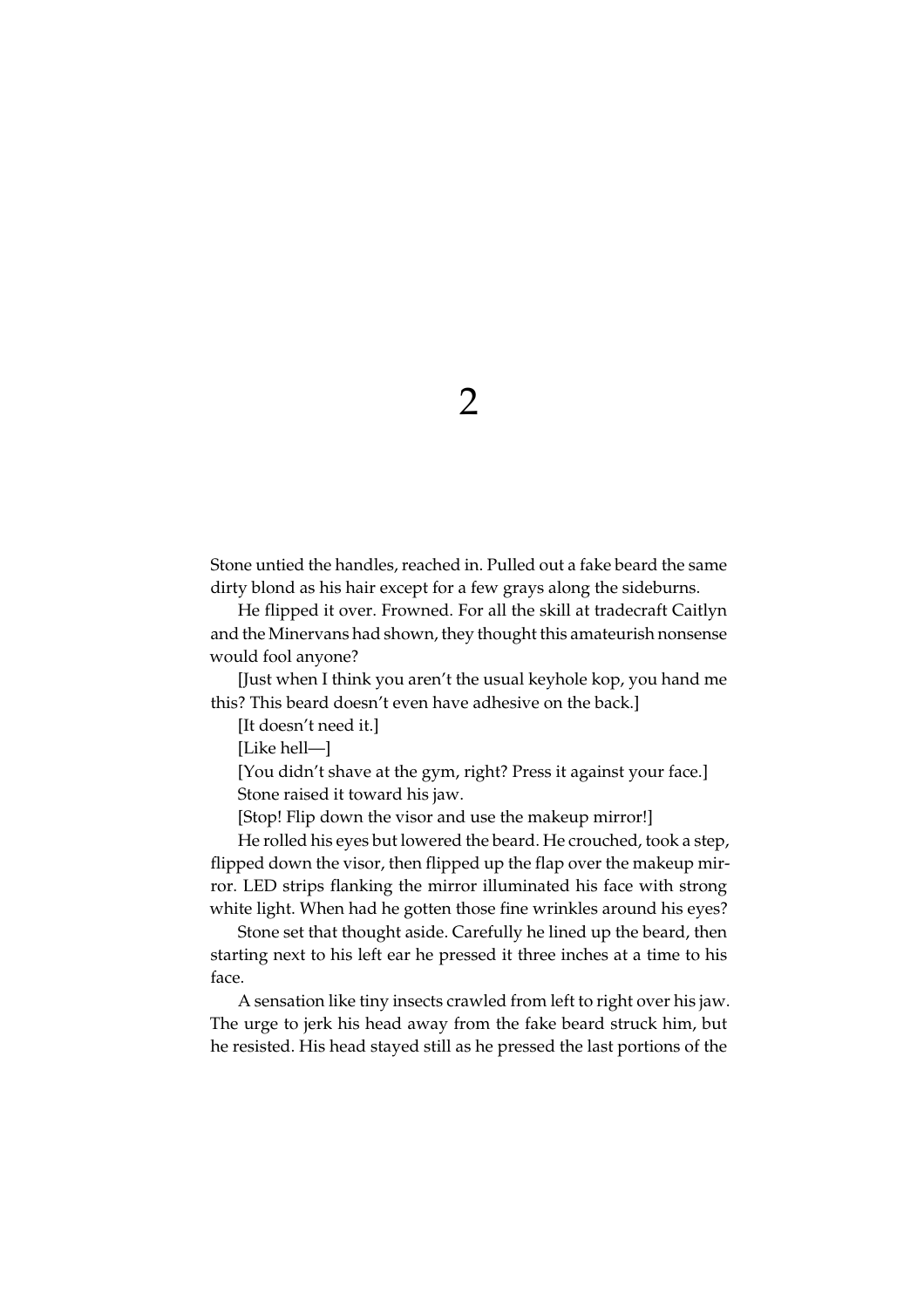$\overline{2}$ 

Stone untied the handles, reached in. Pulled out a fake beard the same dirty blond as his hair except for a few grays along the sideburns.

He flipped it over. Frowned. For all the skill at tradecraft Caitlyn and the Minervans had shown, they thought this amateurish nonsense would fool anyone?

[Just when I think you aren't the usual keyhole kop, you hand me this? This beard doesn't even have adhesive on the back.]

[It doesn't need it.]

[Like hell-]

[You didn't shave at the gym, right? Press it against your face.] Stone raised it toward his jaw.

[Stop! Flip down the visor and use the makeup mirror!]

He rolled his eyes but lowered the beard. He crouched, took a step, flipped down the visor, then flipped up the flap over the makeup mirror. LED strips flanking the mirror illuminated his face with strong white light. When had he gotten those fine wrinkles around his eyes?

Stone set that thought aside. Carefully he lined up the beard, then starting next to his left ear he pressed it three inches at a time to his face.

A sensation like tiny insects crawled from left to right over his jaw. The urge to jerk his head away from the fake beard struck him, but he resisted. His head stayed still as he pressed the last portions of the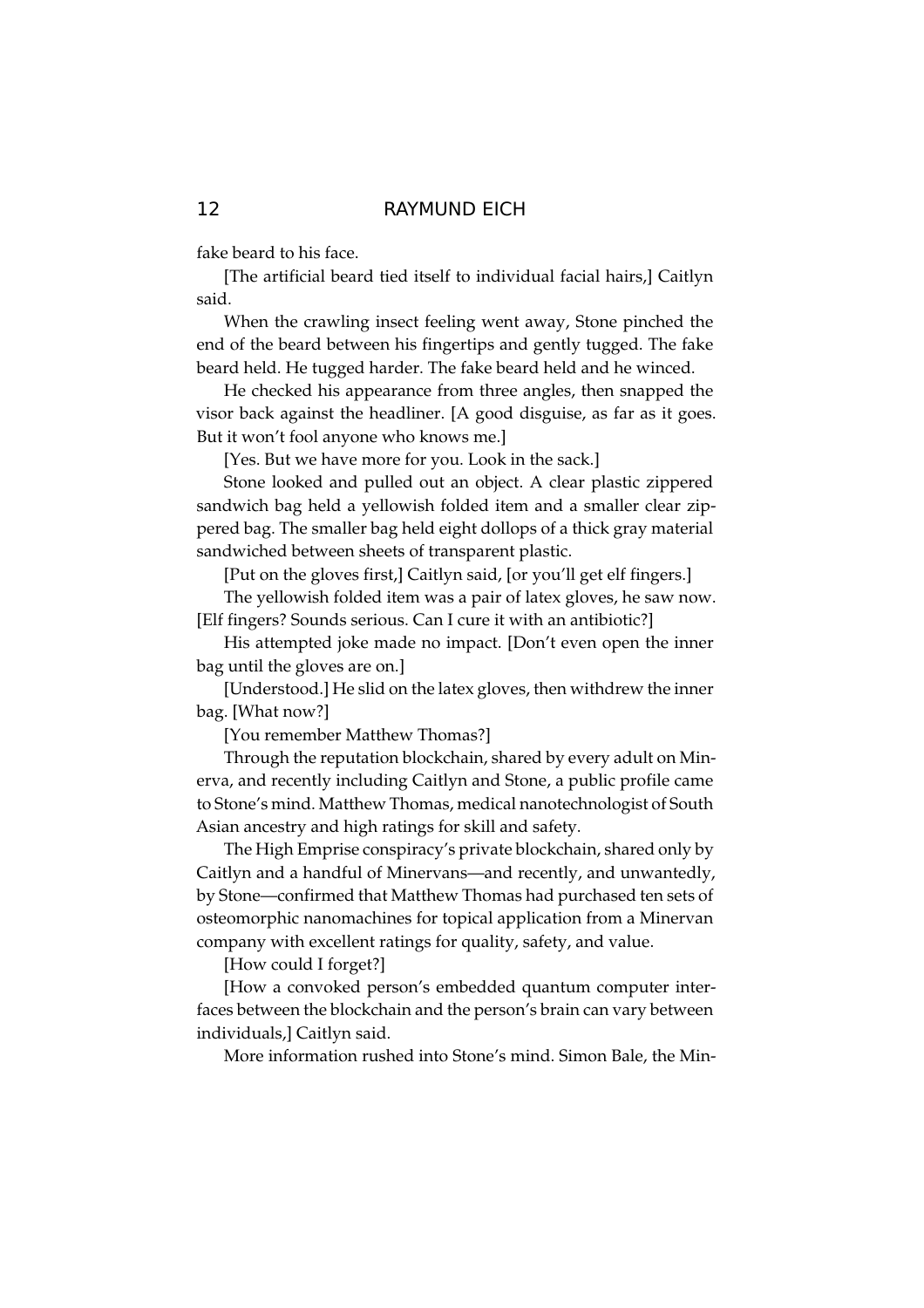fake beard to his face.

[The artificial beard tied itself to individual facial hairs,] Caitlyn said.

When the crawling insect feeling went away, Stone pinched the end of the beard between his fingertips and gently tugged. The fake beard held. He tugged harder. The fake beard held and he winced.

He checked his appearance from three angles, then snapped the visor back against the headliner. [A good disguise, as far as it goes. But it won't fool anyone who knows me.]

[Yes. But we have more for you. Look in the sack.]

Stone looked and pulled out an object. A clear plastic zippered sandwich bag held a yellowish folded item and a smaller clear zippered bag. The smaller bag held eight dollops of a thick gray material sandwiched between sheets of transparent plastic.

[Put on the gloves first,] Caitlyn said, [or you'll get elf fingers.]

The yellowish folded item was a pair of latex gloves, he saw now. [Elf fingers? Sounds serious. Can I cure it with an antibiotic?]

His attempted joke made no impact. [Don't even open the inner bag until the gloves are on.]

[Understood.] He slid on the latex gloves, then withdrew the inner bag. [What now?]

[You remember Matthew Thomas?]

Through the reputation blockchain, shared by every adult on Minerva, and recently including Caitlyn and Stone, a public profile came to Stone's mind. Matthew Thomas, medical nanotechnologist of South Asian ancestry and high ratings for skill and safety.

The High Emprise conspiracy's private blockchain, shared only by Caitlyn and a handful of Minervans-and recently, and unwantedly, by Stone-confirmed that Matthew Thomas had purchased ten sets of osteomorphic nanomachines for topical application from a Minervan company with excellent ratings for quality, safety, and value.

[How could I forget?]

[How a convoked person's embedded quantum computer interfaces between the blockchain and the person's brain can vary between individuals, Caitlyn said.

More information rushed into Stone's mind. Simon Bale, the Min-

# $12$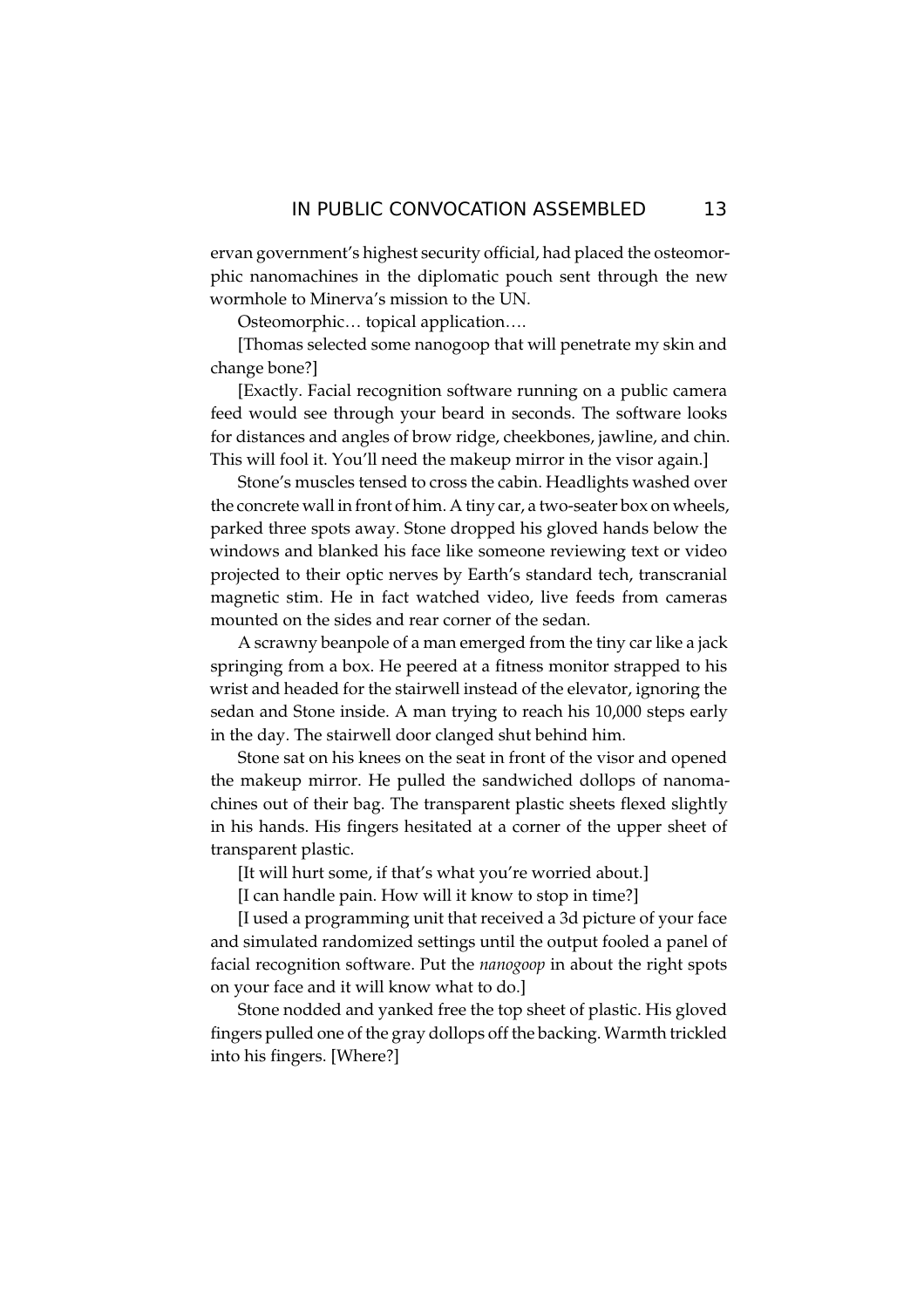ervan government's highest security official, had placed the osteomorphic nanomachines in the diplomatic pouch sent through the new wormhole to Minerva's mission to the UN.

Osteomorphic... topical application....

[Thomas selected some nanogoop that will penetrate my skin and change bone?]

[Exactly. Facial recognition software running on a public camera feed would see through your beard in seconds. The software looks for distances and angles of brow ridge, cheekbones, jawline, and chin. This will fool it. You'll need the makeup mirror in the visor again.]

Stone's muscles tensed to cross the cabin. Headlights washed over the concrete wall in front of him. A tiny car, a two-seater box on wheels, parked three spots away. Stone dropped his gloved hands below the windows and blanked his face like someone reviewing text or video projected to their optic nerves by Earth's standard tech, transcranial magnetic stim. He in fact watched video, live feeds from cameras mounted on the sides and rear corner of the sedan.

A scrawny beanpole of a man emerged from the tiny car like a jack springing from a box. He peered at a fitness monitor strapped to his wrist and headed for the stairwell instead of the elevator, ignoring the sedan and Stone inside. A man trying to reach his 10,000 steps early in the day. The stairwell door clanged shut behind him.

Stone sat on his knees on the seat in front of the visor and opened the makeup mirror. He pulled the sandwiched dollops of nanomachines out of their bag. The transparent plastic sheets flexed slightly in his hands. His fingers hesitated at a corner of the upper sheet of transparent plastic.

[It will hurt some, if that's what you're worried about.]

[I can handle pain. How will it know to stop in time?]

[I used a programming unit that received a 3d picture of your face and simulated randomized settings until the output fooled a panel of facial recognition software. Put the nanogoop in about the right spots on your face and it will know what to do.]

Stone nodded and yanked free the top sheet of plastic. His gloved fingers pulled one of the gray dollops off the backing. Warmth trickled into his fingers. [Where?]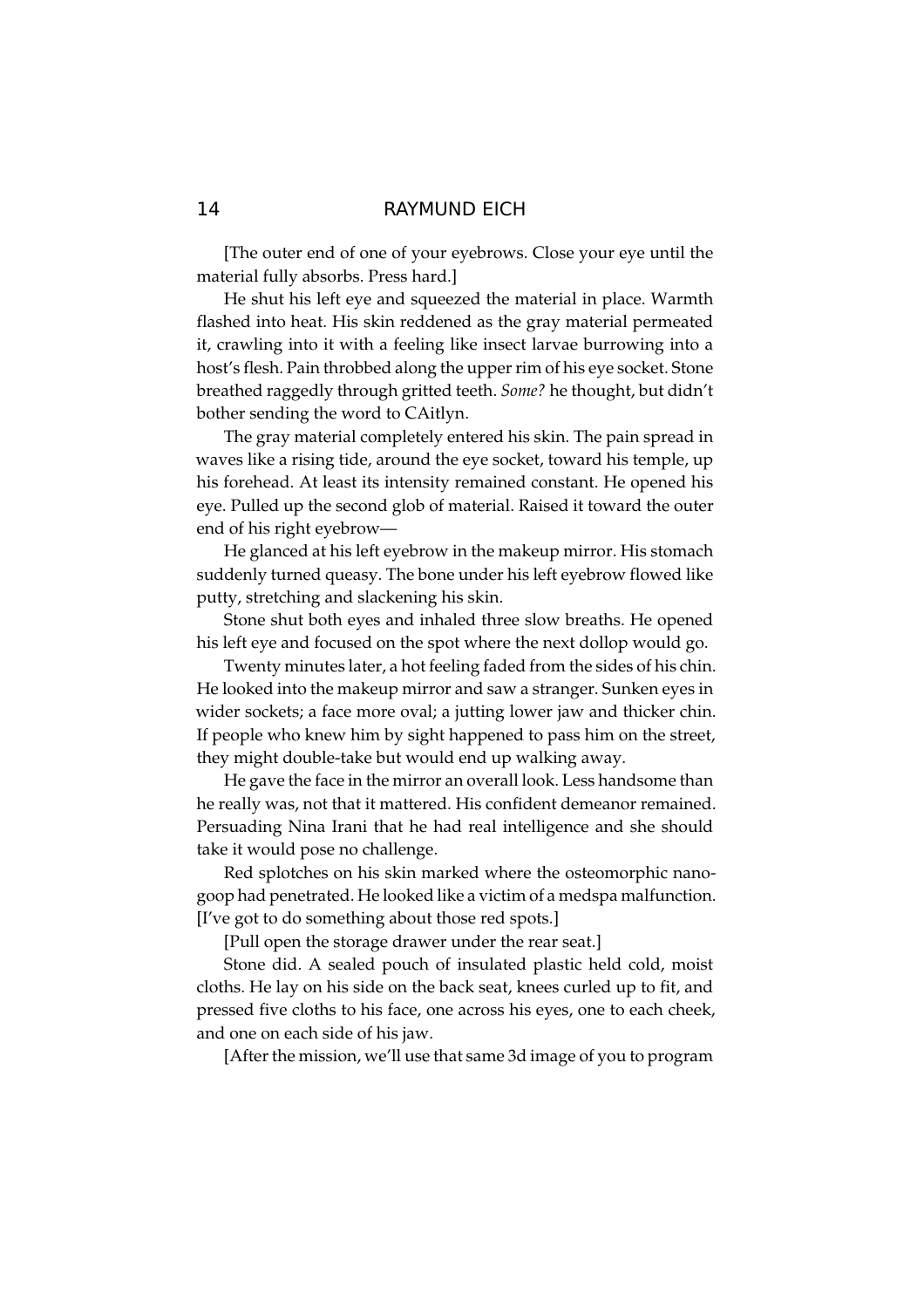[The outer end of one of your eyebrows. Close your eye until the material fully absorbs. Press hard.]

He shut his left eye and squeezed the material in place. Warmth flashed into heat. His skin reddened as the gray material permeated it, crawling into it with a feeling like insect larvae burrowing into a host's flesh. Pain throbbed along the upper rim of his eye socket. Stone breathed raggedly through gritted teeth. Some? he thought, but didn't bother sending the word to CAitlyn.

The gray material completely entered his skin. The pain spread in waves like a rising tide, around the eye socket, toward his temple, up his forehead. At least its intensity remained constant. He opened his eye. Pulled up the second glob of material. Raised it toward the outer end of his right eyebrow-

He glanced at his left eyebrow in the makeup mirror. His stomach suddenly turned queasy. The bone under his left eyebrow flowed like putty, stretching and slackening his skin.

Stone shut both eyes and inhaled three slow breaths. He opened his left eye and focused on the spot where the next dollop would go.

Twenty minutes later, a hot feeling faded from the sides of his chin. He looked into the makeup mirror and saw a stranger. Sunken eyes in wider sockets; a face more oval; a jutting lower jaw and thicker chin. If people who knew him by sight happened to pass him on the street, they might double-take but would end up walking away.

He gave the face in the mirror an overall look. Less handsome than he really was, not that it mattered. His confident demeanor remained. Persuading Nina Irani that he had real intelligence and she should take it would pose no challenge.

Red splotches on his skin marked where the osteomorphic nanogoop had penetrated. He looked like a victim of a medspa malfunction. [I've got to do something about those red spots.]

[Pull open the storage drawer under the rear seat.]

Stone did. A sealed pouch of insulated plastic held cold, moist cloths. He lay on his side on the back seat, knees curled up to fit, and pressed five cloths to his face, one across his eyes, one to each cheek, and one on each side of his jaw.

[After the mission, we'll use that same 3d image of you to program

# $14$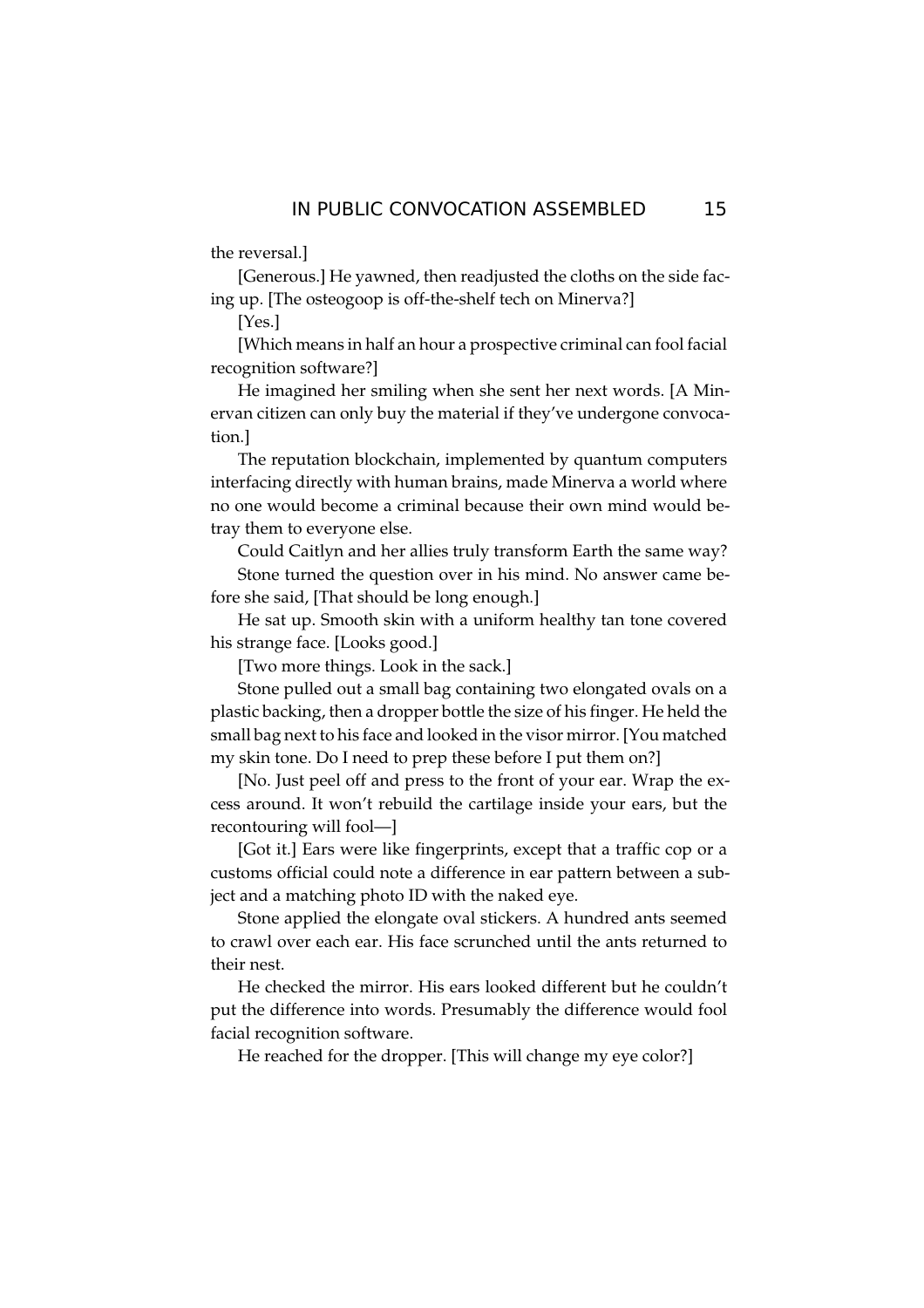the reversal.]

[Generous.] He yawned, then readjusted the cloths on the side facing up. [The osteogoop is off-the-shelf tech on Minerva?]

 $[Yes.]$ 

[Which means in half an hour a prospective criminal can fool facial recognition software?]

He imagined her smiling when she sent her next words. [A Minervan citizen can only buy the material if they've undergone convocation.

The reputation blockchain, implemented by quantum computers interfacing directly with human brains, made Minerva a world where no one would become a criminal because their own mind would betray them to everyone else.

Could Caitlyn and her allies truly transform Earth the same way? Stone turned the question over in his mind. No answer came before she said, [That should be long enough.]

He sat up. Smooth skin with a uniform healthy tan tone covered his strange face. [Looks good.]

[Two more things. Look in the sack.]

Stone pulled out a small bag containing two elongated ovals on a plastic backing, then a dropper bottle the size of his finger. He held the small bag next to his face and looked in the visor mirror. [You matched my skin tone. Do I need to prep these before I put them on?]

[No. Just peel off and press to the front of your ear. Wrap the excess around. It won't rebuild the cartilage inside your ears, but the recontouring will fool-

[Got it.] Ears were like fingerprints, except that a traffic cop or a customs official could note a difference in ear pattern between a subject and a matching photo ID with the naked eye.

Stone applied the elongate oval stickers. A hundred ants seemed to crawl over each ear. His face scrunched until the ants returned to their nest.

He checked the mirror. His ears looked different but he couldn't put the difference into words. Presumably the difference would fool facial recognition software.

He reached for the dropper. [This will change my eye color?]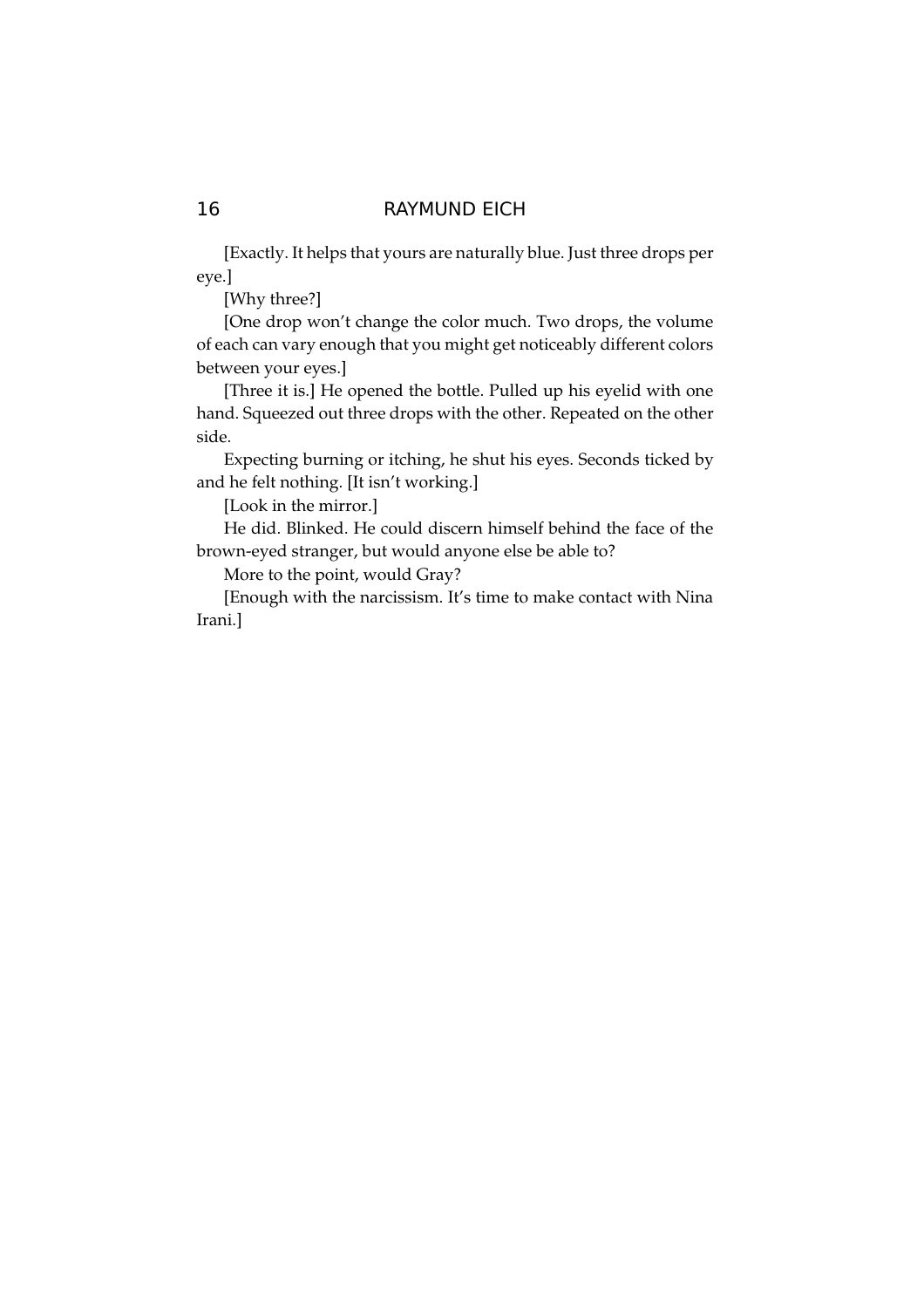[Exactly. It helps that yours are naturally blue. Just three drops per eye.]

[Why three?]

[One drop won't change the color much. Two drops, the volume of each can vary enough that you might get noticeably different colors between your eyes.]

[Three it is.] He opened the bottle. Pulled up his eyelid with one hand. Squeezed out three drops with the other. Repeated on the other side.

Expecting burning or itching, he shut his eyes. Seconds ticked by and he felt nothing. [It isn't working.]

[Look in the mirror.]

He did. Blinked. He could discern himself behind the face of the brown-eyed stranger, but would anyone else be able to?

More to the point, would Gray?

[Enough with the narcissism. It's time to make contact with Nina Irani.]

# 16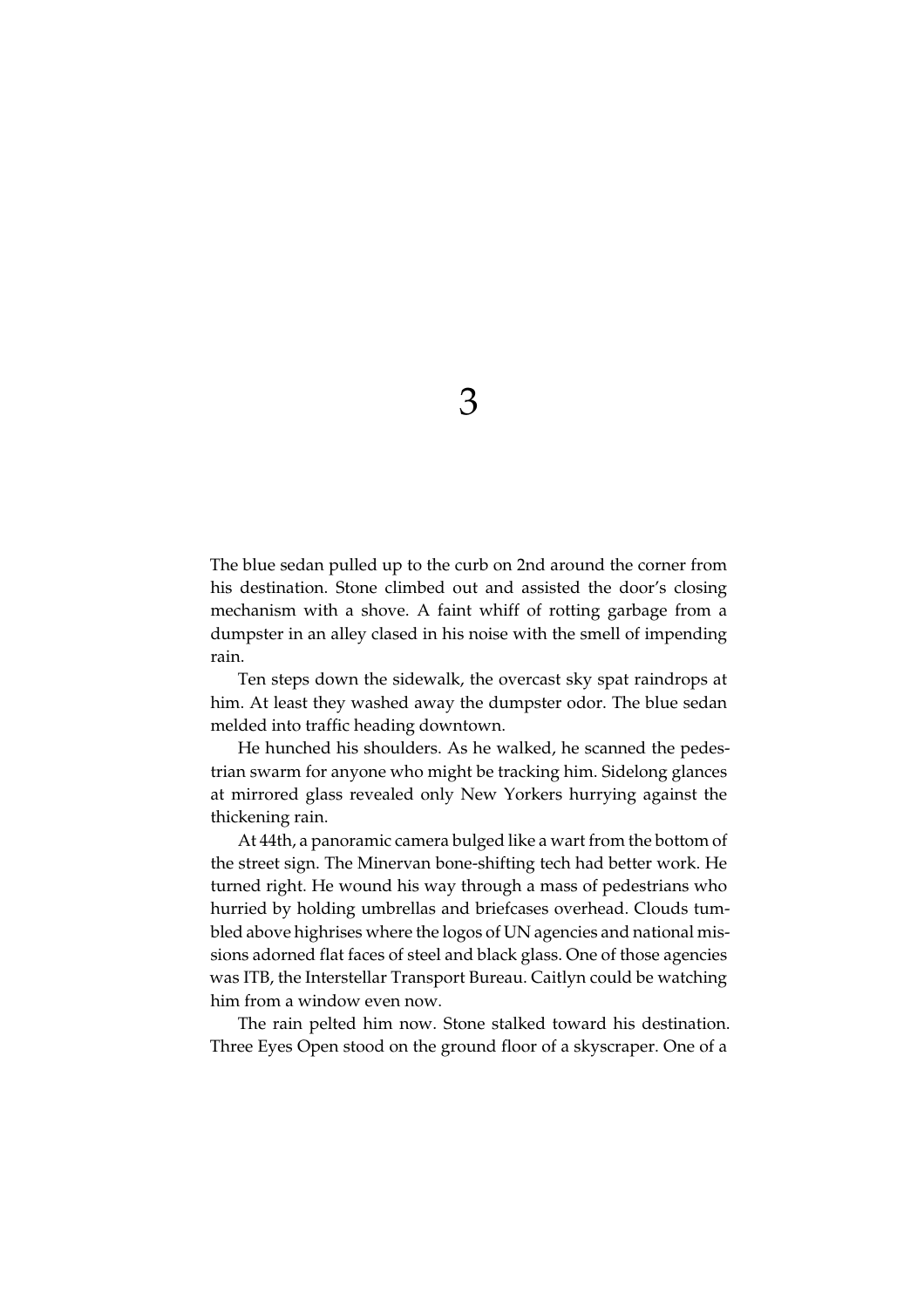The blue sedan pulled up to the curb on 2nd around the corner from his destination. Stone climbed out and assisted the door's closing mechanism with a shove. A faint whiff of rotting garbage from a dumpster in an alley clased in his noise with the smell of impending rain.

Ten steps down the sidewalk, the overcast sky spat raindrops at him. At least they washed away the dumpster odor. The blue sedan melded into traffic heading downtown.

He hunched his shoulders. As he walked, he scanned the pedestrian swarm for anyone who might be tracking him. Sidelong glances at mirrored glass revealed only New Yorkers hurrying against the thickening rain.

At 44th, a panoramic camera bulged like a wart from the bottom of the street sign. The Minervan bone-shifting tech had better work. He turned right. He wound his way through a mass of pedestrians who hurried by holding umbrellas and briefcases overhead. Clouds tumbled above highrises where the logos of UN agencies and national missions adorned flat faces of steel and black glass. One of those agencies was ITB, the Interstellar Transport Bureau. Caitlyn could be watching him from a window even now.

The rain pelted him now. Stone stalked toward his destination. Three Eyes Open stood on the ground floor of a skyscraper. One of a

3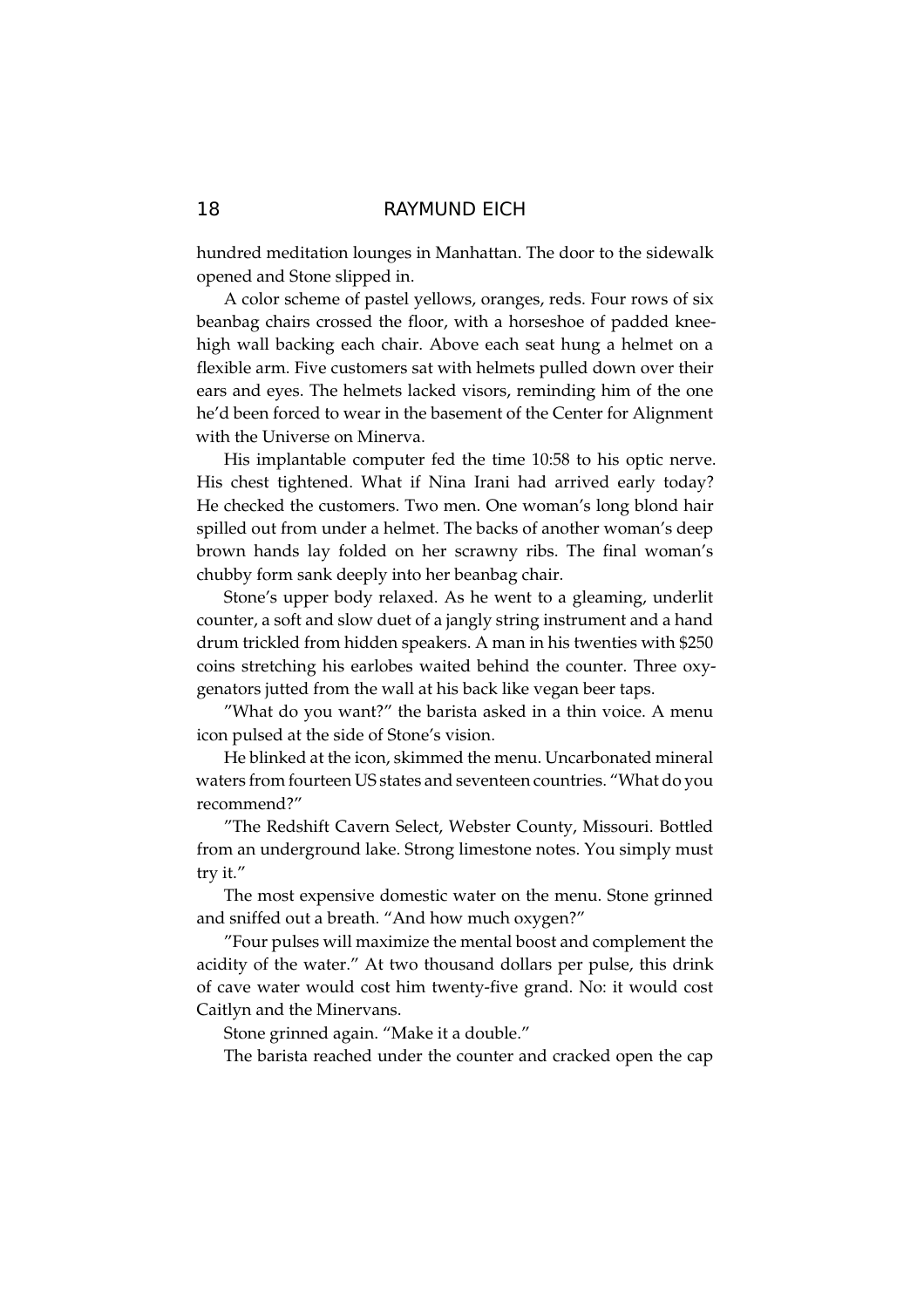hundred meditation lounges in Manhattan. The door to the sidewalk opened and Stone slipped in.

A color scheme of pastel yellows, oranges, reds. Four rows of six beanbag chairs crossed the floor, with a horseshoe of padded kneehigh wall backing each chair. Above each seat hung a helmet on a flexible arm. Five customers sat with helmets pulled down over their ears and eyes. The helmets lacked visors, reminding him of the one he'd been forced to wear in the basement of the Center for Alignment with the Universe on Minerva.

His implantable computer fed the time 10:58 to his optic nerve. His chest tightened. What if Nina Irani had arrived early today? He checked the customers. Two men. One woman's long blond hair spilled out from under a helmet. The backs of another woman's deep brown hands lay folded on her scrawny ribs. The final woman's chubby form sank deeply into her beanbag chair.

Stone's upper body relaxed. As he went to a gleaming, underlit counter, a soft and slow duet of a jangly string instrument and a hand drum trickled from hidden speakers. A man in his twenties with \$250 coins stretching his earlobes waited behind the counter. Three oxygenators jutted from the wall at his back like vegan beer taps.

"What do you want?" the barista asked in a thin voice. A menu icon pulsed at the side of Stone's vision.

He blinked at the icon, skimmed the menu. Uncarbonated mineral waters from fourteen US states and seventeen countries. "What do you recommend?"

"The Redshift Cavern Select, Webster County, Missouri. Bottled from an underground lake. Strong limestone notes. You simply must try it."

The most expensive domestic water on the menu. Stone grinned and sniffed out a breath. "And how much oxygen?"

"Four pulses will maximize the mental boost and complement the acidity of the water." At two thousand dollars per pulse, this drink of cave water would cost him twenty-five grand. No: it would cost Caitlyn and the Minervans.

Stone grinned again. "Make it a double."

The barista reached under the counter and cracked open the cap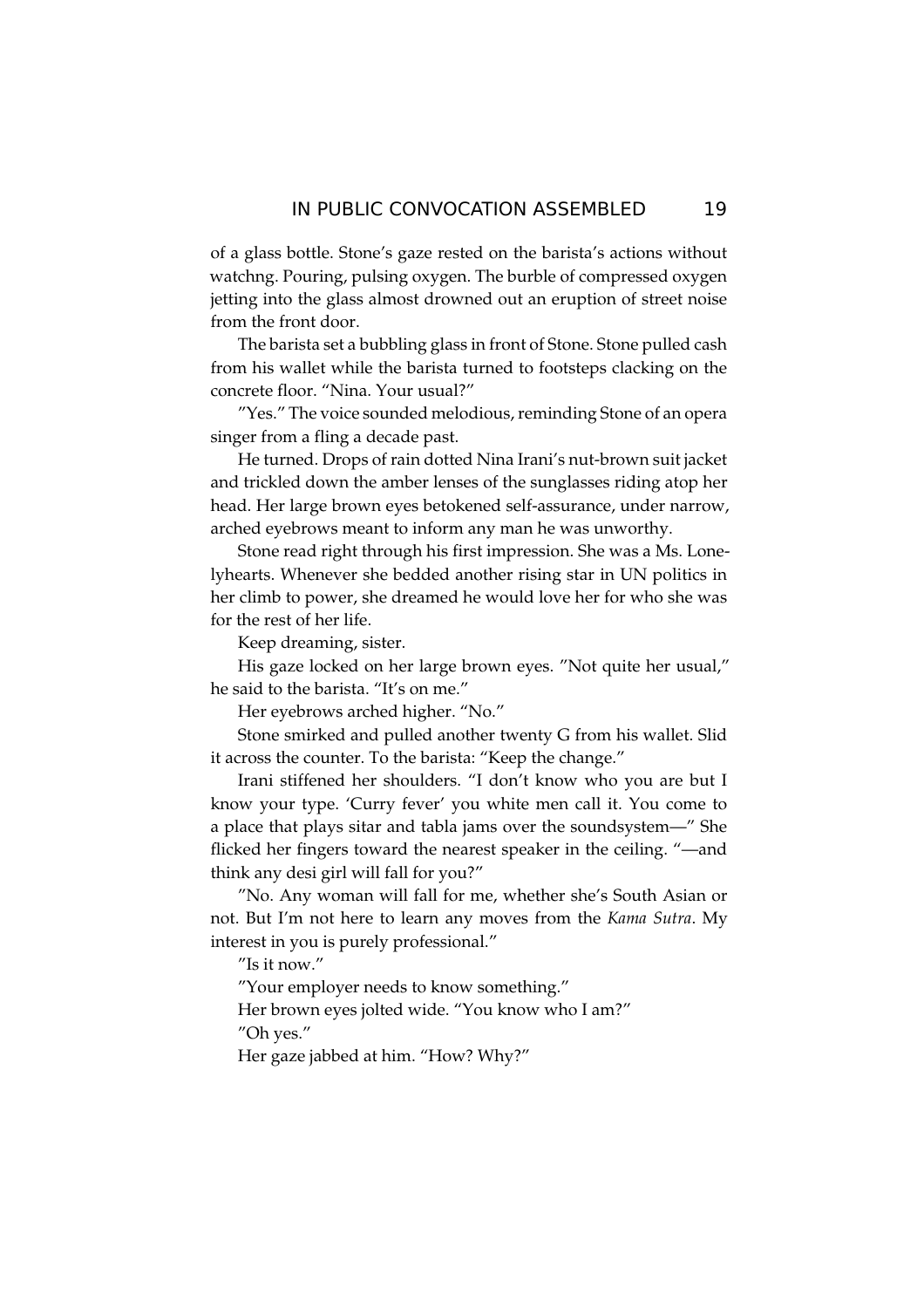of a glass bottle. Stone's gaze rested on the barista's actions without watchng. Pouring, pulsing oxygen. The burble of compressed oxygen jetting into the glass almost drowned out an eruption of street noise from the front door.

The barista set a bubbling glass in front of Stone. Stone pulled cash from his wallet while the barista turned to footsteps clacking on the concrete floor. "Nina, Your usual?"

"Yes." The voice sounded melodious, reminding Stone of an opera singer from a fling a decade past.

He turned. Drops of rain dotted Nina Irani's nut-brown suit jacket and trickled down the amber lenses of the sunglasses riding atop her head. Her large brown eyes betokened self-assurance, under narrow, arched eyebrows meant to inform any man he was unworthy.

Stone read right through his first impression. She was a Ms. Lonelyhearts. Whenever she bedded another rising star in UN politics in her climb to power, she dreamed he would love her for who she was for the rest of her life.

Keep dreaming, sister.

His gaze locked on her large brown eyes. "Not quite her usual," he said to the barista. "It's on me."

Her eyebrows arched higher. "No."

Stone smirked and pulled another twenty G from his wallet. Slid it across the counter. To the barista: "Keep the change."

Irani stiffened her shoulders. "I don't know who you are but I know your type. 'Curry fever' you white men call it. You come to a place that plays sitar and tabla jams over the soundsystem-" She flicked her fingers toward the nearest speaker in the ceiling. "—and think any desi girl will fall for you?"

"No. Any woman will fall for me, whether she's South Asian or not. But I'm not here to learn any moves from the Kama Sutra. My interest in you is purely professional."

"Is it now."

"Your employer needs to know something."

Her brown eyes jolted wide. "You know who I am?" "Oh yes."

Her gaze jabbed at him. "How? Why?"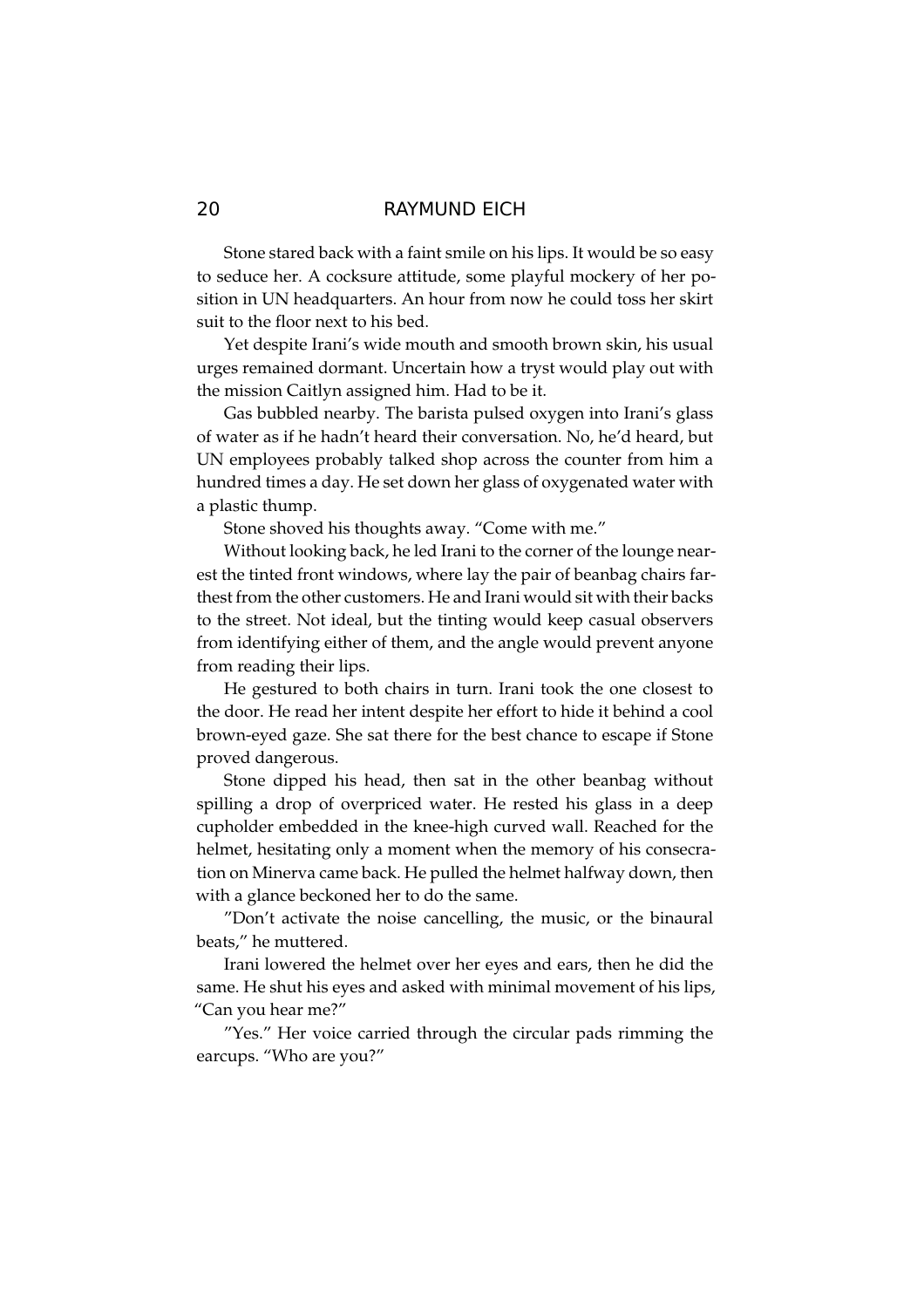Stone stared back with a faint smile on his lips. It would be so easy to seduce her. A cocksure attitude, some playful mockery of her position in UN headquarters. An hour from now he could toss her skirt suit to the floor next to his bed.

Yet despite Irani's wide mouth and smooth brown skin, his usual urges remained dormant. Uncertain how a tryst would play out with the mission Caitlyn assigned him. Had to be it.

Gas bubbled nearby. The barista pulsed oxygen into Irani's glass of water as if he hadn't heard their conversation. No, he'd heard, but UN employees probably talked shop across the counter from him a hundred times a day. He set down her glass of oxygenated water with a plastic thump.

Stone shoved his thoughts away. "Come with me."

Without looking back, he led Irani to the corner of the lounge nearest the tinted front windows, where lay the pair of beanbag chairs farthest from the other customers. He and Irani would sit with their backs to the street. Not ideal, but the tinting would keep casual observers from identifying either of them, and the angle would prevent anyone from reading their lips.

He gestured to both chairs in turn. Irani took the one closest to the door. He read her intent despite her effort to hide it behind a cool brown-eyed gaze. She sat there for the best chance to escape if Stone proved dangerous.

Stone dipped his head, then sat in the other beanbag without spilling a drop of overpriced water. He rested his glass in a deep cupholder embedded in the knee-high curved wall. Reached for the helmet, hesitating only a moment when the memory of his consecration on Minerva came back. He pulled the helmet halfway down, then with a glance beckoned her to do the same.

"Don't activate the noise cancelling, the music, or the binaural beats," he muttered.

Irani lowered the helmet over her eyes and ears, then he did the same. He shut his eyes and asked with minimal movement of his lips, "Can you hear me?"

"Yes." Her voice carried through the circular pads rimming the earcups. "Who are you?"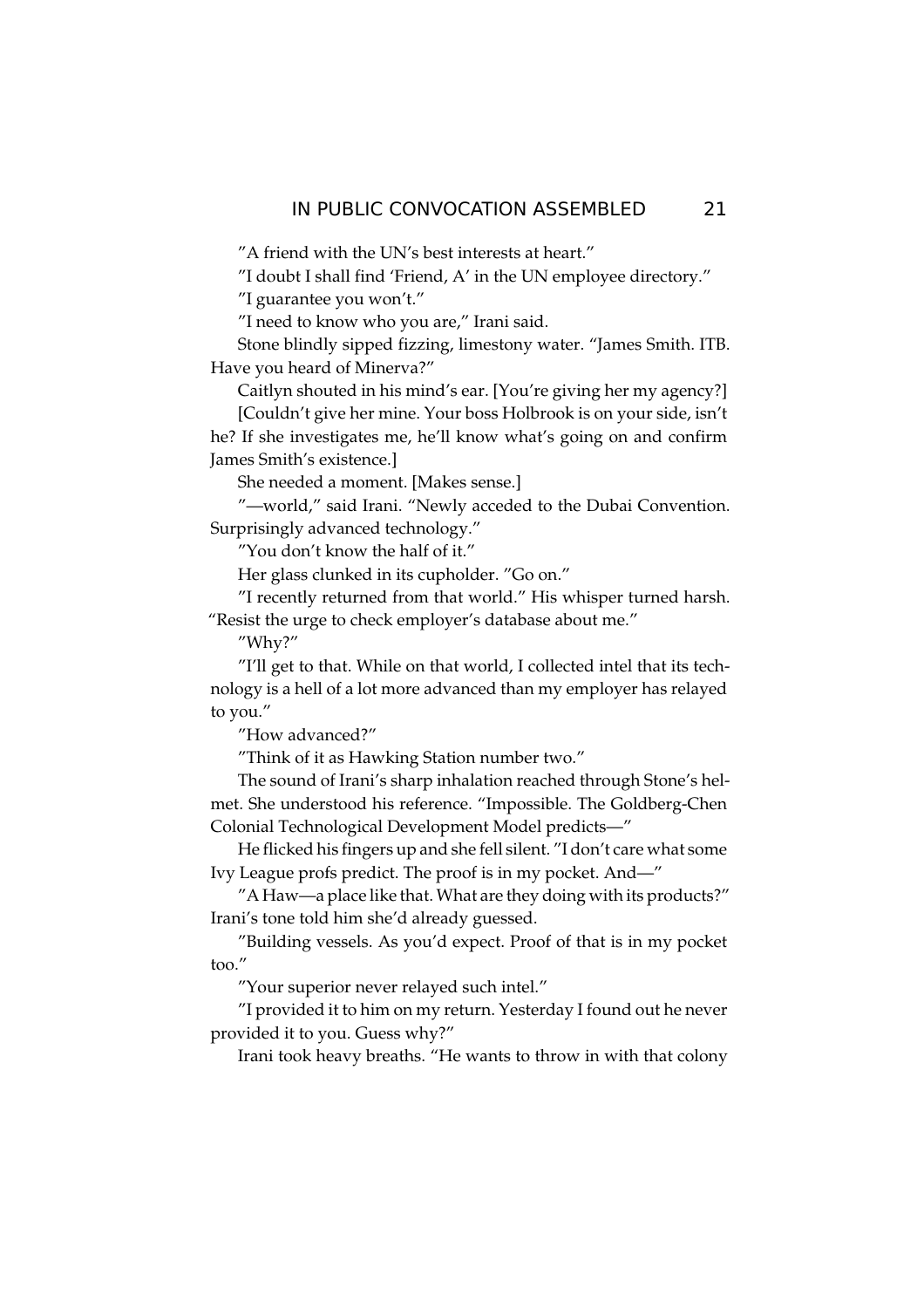"A friend with the UN's best interests at heart."

"I doubt I shall find 'Friend, A' in the UN employee directory."

"I guarantee you won't."

"I need to know who you are," Irani said.

Stone blindly sipped fizzing, limestony water. "James Smith. ITB. Have you heard of Minerva?"

Caitlyn shouted in his mind's ear. [You're giving her my agency?]

[Couldn't give her mine. Your boss Holbrook is on your side, isn't he? If she investigates me, he'll know what's going on and confirm James Smith's existence.]

She needed a moment. [Makes sense.]

"-world," said Irani. "Newly acceded to the Dubai Convention. Surprisingly advanced technology."

"You don't know the half of it."

Her glass clunked in its cupholder. "Go on."

"I recently returned from that world." His whisper turned harsh. "Resist the urge to check employer's database about me."

"Why?"

"I'll get to that. While on that world, I collected intel that its technology is a hell of a lot more advanced than my employer has relayed to you."

"How advanced?"

"Think of it as Hawking Station number two."

The sound of Irani's sharp inhalation reached through Stone's helmet. She understood his reference. "Impossible. The Goldberg-Chen Colonial Technological Development Model predicts-"

He flicked his fingers up and she fell silent. "I don't care what some Ivy League profs predict. The proof is in my pocket. And—"

"A Haw-a place like that. What are they doing with its products?" Irani's tone told him she'd already guessed.

"Building vessels. As you'd expect. Proof of that is in my pocket  $\text{too."}$ 

"Your superior never relayed such intel."

"I provided it to him on my return. Yesterday I found out he never provided it to you. Guess why?"

Irani took heavy breaths. "He wants to throw in with that colony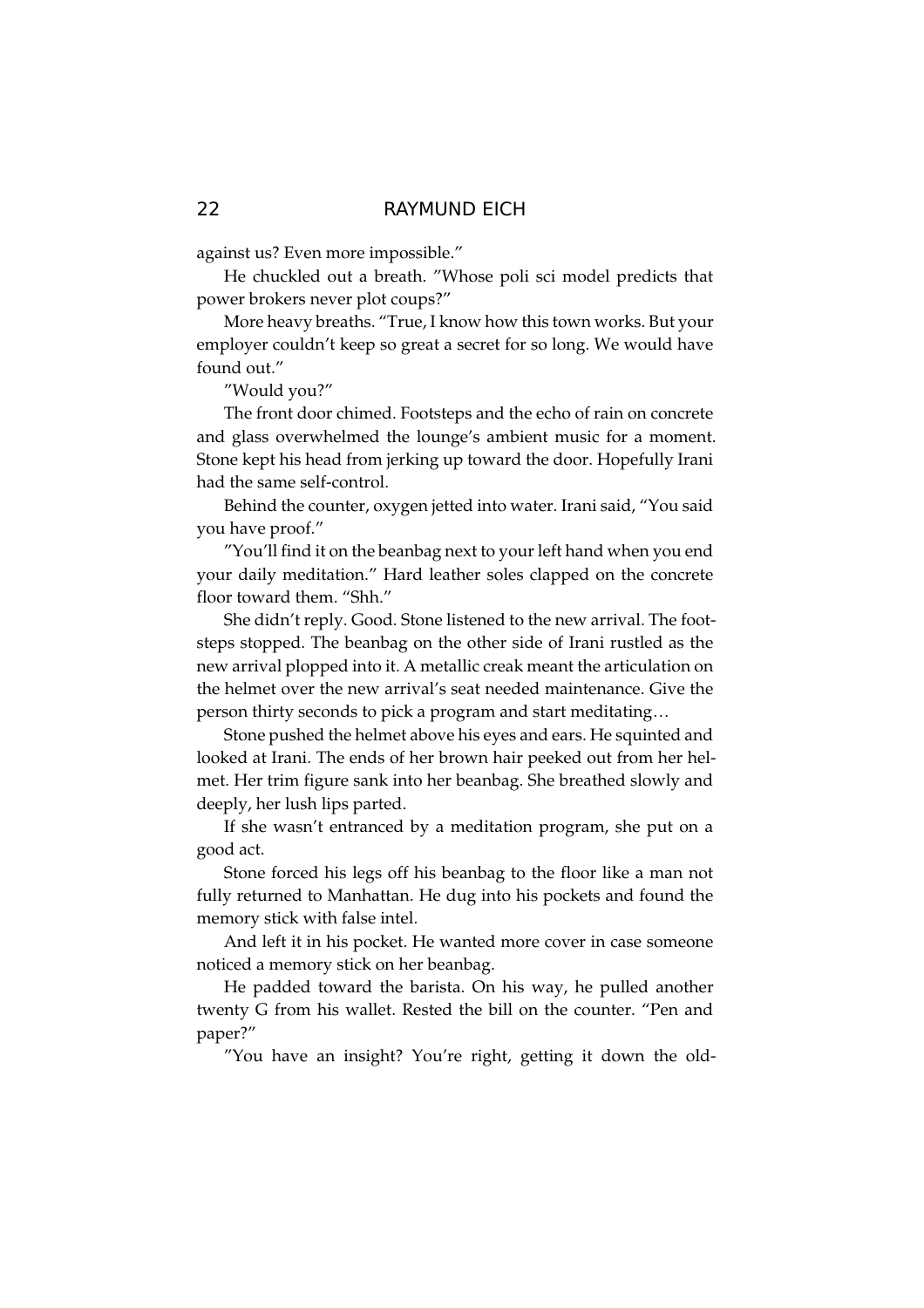against us? Even more impossible."

He chuckled out a breath. "Whose poli sci model predicts that power brokers never plot coups?"

More heavy breaths. "True, I know how this town works. But your employer couldn't keep so great a secret for so long. We would have found out."

"Would you?"

The front door chimed. Footsteps and the echo of rain on concrete and glass overwhelmed the lounge's ambient music for a moment. Stone kept his head from jerking up toward the door. Hopefully Irani had the same self-control.

Behind the counter, oxygen jetted into water. Irani said, "You said you have proof."

"You'll find it on the beanbag next to your left hand when you end your daily meditation." Hard leather soles clapped on the concrete floor toward them. "Shh."

She didn't reply. Good. Stone listened to the new arrival. The footsteps stopped. The beanbag on the other side of Irani rustled as the new arrival plopped into it. A metallic creak meant the articulation on the helmet over the new arrival's seat needed maintenance. Give the person thirty seconds to pick a program and start meditating...

Stone pushed the helmet above his eyes and ears. He squinted and looked at Irani. The ends of her brown hair peeked out from her helmet. Her trim figure sank into her beanbag. She breathed slowly and deeply, her lush lips parted.

If she wasn't entranced by a meditation program, she put on a good act.

Stone forced his legs off his beanbag to the floor like a man not fully returned to Manhattan. He dug into his pockets and found the memory stick with false intel.

And left it in his pocket. He wanted more cover in case someone noticed a memory stick on her beanbag.

He padded toward the barista. On his way, he pulled another twenty G from his wallet. Rested the bill on the counter. "Pen and paper?"

"You have an insight? You're right, getting it down the old-